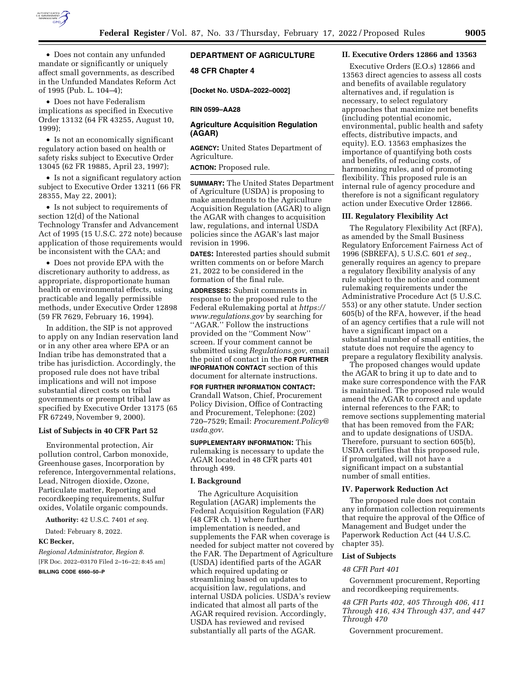

• Does not contain any unfunded mandate or significantly or uniquely affect small governments, as described in the Unfunded Mandates Reform Act of 1995 (Pub. L. 104–4);

• Does not have Federalism implications as specified in Executive Order 13132 (64 FR 43255, August 10, 1999);

• Is not an economically significant regulatory action based on health or safety risks subject to Executive Order 13045 (62 FR 19885, April 23, 1997);

• Is not a significant regulatory action subject to Executive Order 13211 (66 FR 28355, May 22, 2001);

• Is not subject to requirements of section 12(d) of the National Technology Transfer and Advancement Act of 1995 (15 U.S.C. 272 note) because application of those requirements would be inconsistent with the CAA; and

• Does not provide EPA with the discretionary authority to address, as appropriate, disproportionate human health or environmental effects, using practicable and legally permissible methods, under Executive Order 12898 (59 FR 7629, February 16, 1994).

In addition, the SIP is not approved to apply on any Indian reservation land or in any other area where EPA or an Indian tribe has demonstrated that a tribe has jurisdiction. Accordingly, the proposed rule does not have tribal implications and will not impose substantial direct costs on tribal governments or preempt tribal law as specified by Executive Order 13175 (65 FR 67249, November 9, 2000).

#### **List of Subjects in 40 CFR Part 52**

Environmental protection, Air pollution control, Carbon monoxide, Greenhouse gases, Incorporation by reference, Intergovernmental relations, Lead, Nitrogen dioxide, Ozone, Particulate matter, Reporting and recordkeeping requirements, Sulfur oxides, Volatile organic compounds.

**Authority:** 42 U.S.C. 7401 *et seq.* 

Dated: February 8, 2022.

## **KC Becker,**

*Regional Administrator, Region 8.*  [FR Doc. 2022–03170 Filed 2–16–22; 8:45 am] **BILLING CODE 6560–50–P** 

## **DEPARTMENT OF AGRICULTURE**

**48 CFR Chapter 4** 

**[Docket No. USDA–2022–0002]** 

#### **RIN 0599–AA28**

## **Agriculture Acquisition Regulation (AGAR)**

**AGENCY:** United States Department of Agriculture.

## **ACTION:** Proposed rule.

**SUMMARY:** The United States Department of Agriculture (USDA) is proposing to make amendments to the Agriculture Acquisition Regulation (AGAR) to align the AGAR with changes to acquisition law, regulations, and internal USDA policies since the AGAR's last major revision in 1996.

**DATES:** Interested parties should submit written comments on or before March 21, 2022 to be considered in the formation of the final rule.

**ADDRESSES:** Submit comments in response to the proposed rule to the Federal eRulemaking portal at *[https://](https://www.regulations.gov) [www.regulations.gov](https://www.regulations.gov)* by searching for "AGAR." Follow the instructions provided on the ''Comment Now'' screen. If your comment cannot be submitted using *Regulations.gov*, email the point of contact in the **FOR FURTHER INFORMATION CONTACT** section of this document for alternate instructions.

**FOR FURTHER INFORMATION CONTACT:**  Crandall Watson, Chief, Procurement Policy Division, Office of Contracting and Procurement, Telephone: (202) 720–7529; Email: *[Procurement.Policy@](mailto:Procurement.Policy@usda.gov) [usda.gov.](mailto:Procurement.Policy@usda.gov)* 

**SUPPLEMENTARY INFORMATION:** This rulemaking is necessary to update the AGAR located in 48 CFR parts 401 through 499.

## **I. Background**

The Agriculture Acquisition Regulation (AGAR) implements the Federal Acquisition Regulation (FAR) (48 CFR ch. 1) where further implementation is needed, and supplements the FAR when coverage is needed for subject matter not covered by the FAR. The Department of Agriculture (USDA) identified parts of the AGAR which required updating or streamlining based on updates to acquisition law, regulations, and internal USDA policies. USDA's review indicated that almost all parts of the AGAR required revision. Accordingly, USDA has reviewed and revised substantially all parts of the AGAR.

## **II. Executive Orders 12866 and 13563**

Executive Orders (E.O.s) 12866 and 13563 direct agencies to assess all costs and benefits of available regulatory alternatives and, if regulation is necessary, to select regulatory approaches that maximize net benefits (including potential economic, environmental, public health and safety effects, distributive impacts, and equity). E.O. 13563 emphasizes the importance of quantifying both costs and benefits, of reducing costs, of harmonizing rules, and of promoting flexibility. This proposed rule is an internal rule of agency procedure and therefore is not a significant regulatory action under Executive Order 12866.

## **III. Regulatory Flexibility Act**

The Regulatory Flexibility Act (RFA), as amended by the Small Business Regulatory Enforcement Fairness Act of 1996 (SBREFA), 5 U.S.C. 601 *et seq.,*  generally requires an agency to prepare a regulatory flexibility analysis of any rule subject to the notice and comment rulemaking requirements under the Administrative Procedure Act (5 U.S.C. 553) or any other statute. Under section 605(b) of the RFA, however, if the head of an agency certifies that a rule will not have a significant impact on a substantial number of small entities, the statute does not require the agency to prepare a regulatory flexibility analysis.

The proposed changes would update the AGAR to bring it up to date and to make sure correspondence with the FAR is maintained. The proposed rule would amend the AGAR to correct and update internal references to the FAR; to remove sections supplementing material that has been removed from the FAR; and to update designations of USDA. Therefore, pursuant to section 605(b), USDA certifies that this proposed rule, if promulgated, will not have a significant impact on a substantial number of small entities.

#### **IV. Paperwork Reduction Act**

The proposed rule does not contain any information collection requirements that require the approval of the Office of Management and Budget under the Paperwork Reduction Act (44 U.S.C. chapter 35).

#### **List of Subjects**

#### *48 CFR Part 401*

Government procurement, Reporting and recordkeeping requirements.

*48 CFR Parts 402, 405 Through 406, 411 Through 416, 434 Through 437, and 447 Through 470* 

Government procurement.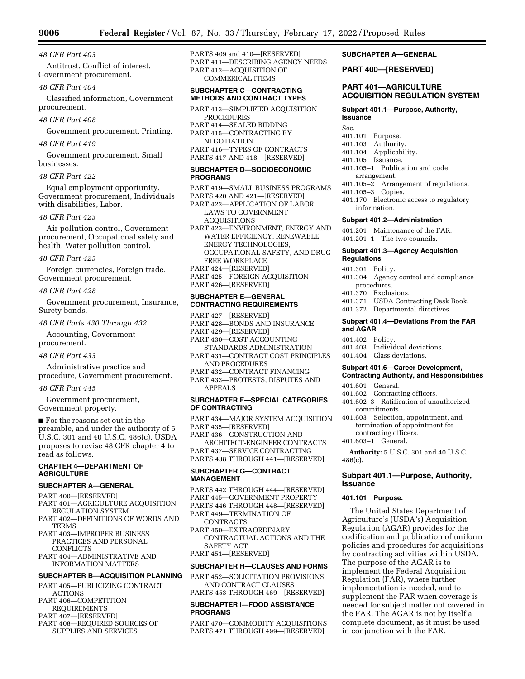#### *48 CFR Part 403*

Antitrust, Conflict of interest, Government procurement.

#### *48 CFR Part 404*

Classified information, Government procurement.

*48 CFR Part 408* 

Government procurement, Printing.

#### *48 CFR Part 419*

Government procurement, Small businesses.

#### *48 CFR Part 422*

Equal employment opportunity, Government procurement, Individuals with disabilities, Labor.

#### *48 CFR Part 423*

Air pollution control, Government procurement, Occupational safety and health, Water pollution control.

#### *48 CFR Part 425*

Foreign currencies, Foreign trade, Government procurement.

#### *48 CFR Part 428*

Government procurement, Insurance, Surety bonds.

#### *48 CFR Parts 430 Through 432*

Accounting, Government procurement.

#### *48 CFR Part 433*

Administrative practice and procedure, Government procurement.

#### *48 CFR Part 445*

Government procurement, Government property.

■ For the reasons set out in the preamble, and under the authority of 5 U.S.C. 301 and 40 U.S.C. 486(c), USDA proposes to revise 48 CFR chapter 4 to read as follows.

## **CHAPTER 4—DEPARTMENT OF AGRICULTURE**

## **SUBCHAPTER A—GENERAL**

- PART 400—[RESERVED]
- PART 401—AGRICULTURE ACQUISITION REGULATION SYSTEM
- PART 402—DEFINITIONS OF WORDS AND **TERMS**
- PART 403—IMPROPER BUSINESS PRACTICES AND PERSONAL CONFLICTS
- PART 404—ADMINISTRATIVE AND INFORMATION MATTERS

#### **SUBCHAPTER B—ACQUISITION PLANNING**

- PART 405—PUBLICIZING CONTRACT ACTIONS PART 406—COMPETITION REQUIREMENTS
- PART 407—[RESERVED]
- PART 408—REQUIRED SOURCES OF
- SUPPLIES AND SERVICES

PARTS 409 and 410—[RESERVED] PART 411—DESCRIBING AGENCY NEEDS PART 412—ACQUISITION OF COMMERICAL ITEMS

## **SUBCHAPTER C—CONTRACTING METHODS AND CONTRACT TYPES**

PART 413—SIMPLIFIED ACQUISITION PROCEDURES PART 414—SEALED BIDDING PART 415—CONTRACTING BY **NEGOTIATION** PART 416—TYPES OF CONTRACTS PARTS 417 AND 418—[RESERVED]

## **SUBCHAPTER D—SOCIOECONOMIC PROGRAMS**

PART 419—SMALL BUSINESS PROGRAMS PARTS 420 AND 421—[RESERVED] PART 422—APPLICATION OF LABOR LAWS TO GOVERNMENT ACQUISITIONS PART 423—ENVIRONMENT, ENERGY AND WATER EFFICIENCY, RENEWABLE ENERGY TECHNOLOGIES, OCCUPATIONAL SAFETY, AND DRUG-FREE WORKPLACE PART 424—[RESERVED] PART 425—FOREIGN ACQUISITION PART 426—[RESERVED]

## **SUBCHAPTER E—GENERAL CONTRACTING REQUIREMENTS**

- PART 427—[RESERVED] PART 428—BONDS AND INSURANCE PART 429—[RESERVED] PART 430—COST ACCOUNTING STANDARDS ADMINISTRATION PART 431—CONTRACT COST PRINCIPLES AND PROCEDURES
- PART 432—CONTRACT FINANCING
- PART 433—PROTESTS, DISPUTES AND APPEALS

#### **SUBCHAPTER F—SPECIAL CATEGORIES OF CONTRACTING**

PART 434—MAJOR SYSTEM ACQUISITION PART 435—[RESERVED] PART 436—CONSTRUCTION AND ARCHITECT-ENGINEER CONTRACTS PART 437—SERVICE CONTRACTING PARTS 438 THROUGH 441—[RESERVED] **SUBCHAPTER G—CONTRACT MANAGEMENT**  PARTS 442 THROUGH 444—[RESERVED]

PART 445—GOVERNMENT PROPERTY PARTS 446 THROUGH 448—[RESERVED] PART 449—TERMINATION OF

- CONTRACTS PART 450—EXTRAORDINARY CONTRACTUAL ACTIONS AND THE
- SAFETY ACT PART 451—[RESERVED]

## **SUBCHAPTER H—CLAUSES AND FORMS**

PART 452—SOLICITATION PROVISIONS AND CONTRACT CLAUSES PARTS 453 THROUGH 469—[RESERVED]

## **SUBCHAPTER I—FOOD ASSISTANCE PROGRAMS**

PART 470—COMMODITY ACQUISITIONS PARTS 471 THROUGH 499—[RESERVED]

## **SUBCHAPTER A—GENERAL**

#### **PART 400—[RESERVED]**

## **PART 401—AGRICULTURE ACQUISITION REGULATION SYSTEM**

#### **Subpart 401.1—Purpose, Authority, Issuance**

- Sec.<br>401.101 Purpose.
- 401.103 Authority.
- 401.104 Applicability.
- 401.105 Issuance.
- 401.105–1 Publication and code arrangement.
- 401.105–2 Arrangement of regulations.
- 401.105–3 Copies.
- 
- 401.170 Electronic access to regulatory information.

## **Subpart 401.2—Administration**

- 401.201 Maintenance of the FAR.
- 401.201–1 The two councils.

## **Subpart 401.3—Agency Acquisition Regulations**

- 401.301 Policy.
- 401.304 Agency control and compliance procedures.
- 
- 401.370 Exclusions. USDA Contracting Desk Book.
- 401.372 Departmental directives.

#### **Subpart 401.4—Deviations From the FAR and AGAR**

- 401.402 Policy.
- 401.403 Individual deviations.
- 401.404 Class deviations.

#### **Subpart 401.6—Career Development, Contracting Authority, and Responsibilities**

- 401.601 General.
	- 401.602 Contracting officers.
	- 401.602–3 Ratification of unauthorized commitments.
	- 401.603 Selection, appointment, and termination of appointment for contracting officers.
	- 401.603–1 General.

**Authority:** 5 U.S.C. 301 and 40 U.S.C. 486(c).

## **Subpart 401.1—Purpose, Authority, Issuance**

## **401.101 Purpose.**

The United States Department of Agriculture's (USDA's) Acquisition Regulation (AGAR) provides for the codification and publication of uniform policies and procedures for acquisitions by contracting activities within USDA. The purpose of the AGAR is to implement the Federal Acquisition Regulation (FAR), where further implementation is needed, and to supplement the FAR when coverage is needed for subject matter not covered in the FAR. The AGAR is not by itself a complete document, as it must be used in conjunction with the FAR.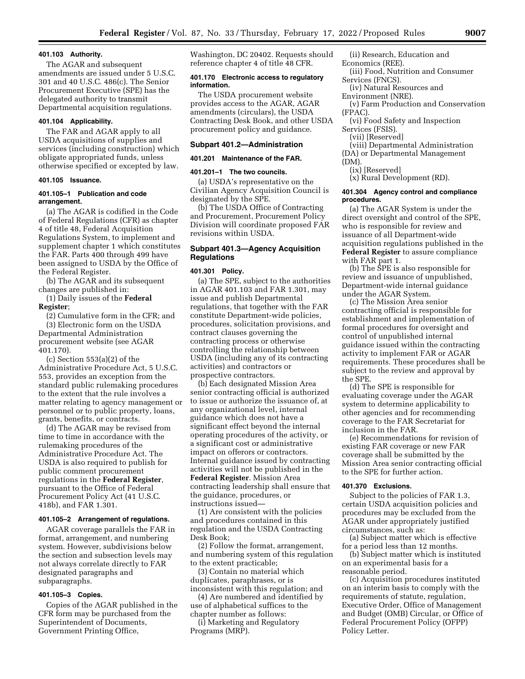#### **401.103 Authority.**

The AGAR and subsequent amendments are issued under 5 U.S.C. 301 and 40 U.S.C. 486(c). The Senior Procurement Executive (SPE) has the delegated authority to transmit Departmental acquisition regulations.

## **401.104 Applicability.**

The FAR and AGAR apply to all USDA acquisitions of supplies and services (including construction) which obligate appropriated funds, unless otherwise specified or excepted by law.

#### **401.105 Issuance.**

## **401.105–1 Publication and code arrangement.**

(a) The AGAR is codified in the Code of Federal Regulations (CFR) as chapter 4 of title 48, Federal Acquisition Regulations System, to implement and supplement chapter 1 which constitutes the FAR. Parts 400 through 499 have been assigned to USDA by the Office of the Federal Register.

(b) The AGAR and its subsequent changes are published in:

(1) Daily issues of the **Federal Register**;

(2) Cumulative form in the CFR; and (3) Electronic form on the USDA Departmental Administration procurement website (see AGAR 401.170).

(c) Section 553(a)(2) of the Administrative Procedure Act, 5 U.S.C. 553, provides an exception from the standard public rulemaking procedures to the extent that the rule involves a matter relating to agency management or personnel or to public property, loans, grants, benefits, or contracts.

(d) The AGAR may be revised from time to time in accordance with the rulemaking procedures of the Administrative Procedure Act. The USDA is also required to publish for public comment procurement regulations in the **Federal Register**, pursuant to the Office of Federal Procurement Policy Act (41 U.S.C. 418b), and FAR 1.301.

## **401.105–2 Arrangement of regulations.**

AGAR coverage parallels the FAR in format, arrangement, and numbering system. However, subdivisions below the section and subsection levels may not always correlate directly to FAR designated paragraphs and subparagraphs.

## **401.105–3 Copies.**

Copies of the AGAR published in the CFR form may be purchased from the Superintendent of Documents, Government Printing Office,

Washington, DC 20402. Requests should reference chapter 4 of title 48 CFR.

## **401.170 Electronic access to regulatory information.**

The USDA procurement website provides access to the AGAR, AGAR amendments (circulars), the USDA Contracting Desk Book, and other USDA procurement policy and guidance.

#### **Subpart 401.2—Administration**

## **401.201 Maintenance of the FAR.**

#### **401.201–1 The two councils.**

(a) USDA's representative on the Civilian Agency Acquisition Council is designated by the SPE.

(b) The USDA Office of Contracting and Procurement, Procurement Policy Division will coordinate proposed FAR revisions within USDA.

## **Subpart 401.3—Agency Acquisition Regulations**

#### **401.301 Policy.**

(a) The SPE, subject to the authorities in AGAR 401.103 and FAR 1.301, may issue and publish Departmental regulations, that together with the FAR constitute Department-wide policies, procedures, solicitation provisions, and contract clauses governing the contracting process or otherwise controlling the relationship between USDA (including any of its contracting activities) and contractors or prospective contractors.

(b) Each designated Mission Area senior contracting official is authorized to issue or authorize the issuance of, at any organizational level, internal guidance which does not have a significant effect beyond the internal operating procedures of the activity, or a significant cost or administrative impact on offerors or contractors. Internal guidance issued by contracting activities will not be published in the **Federal Register**. Mission Area contracting leadership shall ensure that the guidance, procedures, or instructions issued—

(1) Are consistent with the policies and procedures contained in this regulation and the USDA Contracting Desk Book;

(2) Follow the format, arrangement, and numbering system of this regulation to the extent practicable;

(3) Contain no material which duplicates, paraphrases, or is inconsistent with this regulation; and

(4) Are numbered and identified by use of alphabetical suffices to the chapter number as follows:

(i) Marketing and Regulatory Programs (MRP).

(ii) Research, Education and Economics (REE).

(iii) Food, Nutrition and Consumer Services (FNCS).

(iv) Natural Resources and

- Environment (NRE).
- (v) Farm Production and Conservation (FPAC).
- (vi) Food Safety and Inspection Services (FSIS).
- (vii) [Reserved]
- (viii) Departmental Administration
- (DA) or Departmental Management
- (DM).
	- (ix) [Reserved]

(x) Rural Development (RD).

#### **401.304 Agency control and compliance procedures.**

(a) The AGAR System is under the direct oversight and control of the SPE, who is responsible for review and issuance of all Department-wide acquisition regulations published in the **Federal Register** to assure compliance with FAR part 1.

(b) The SPE is also responsible for review and issuance of unpublished, Department-wide internal guidance under the AGAR System.

(c) The Mission Area senior contracting official is responsible for establishment and implementation of formal procedures for oversight and control of unpublished internal guidance issued within the contracting activity to implement FAR or AGAR requirements. These procedures shall be subject to the review and approval by the SPE.

(d) The SPE is responsible for evaluating coverage under the AGAR system to determine applicability to other agencies and for recommending coverage to the FAR Secretariat for inclusion in the FAR.

(e) Recommendations for revision of existing FAR coverage or new FAR coverage shall be submitted by the Mission Area senior contracting official to the SPE for further action.

#### **401.370 Exclusions.**

Subject to the policies of FAR 1.3, certain USDA acquisition policies and procedures may be excluded from the AGAR under appropriately justified circumstances, such as:

(a) Subject matter which is effective for a period less than 12 months.

(b) Subject matter which is instituted on an experimental basis for a reasonable period.

(c) Acquisition procedures instituted on an interim basis to comply with the requirements of statute, regulation, Executive Order, Office of Management and Budget (OMB) Circular, or Office of Federal Procurement Policy (OFPP) Policy Letter.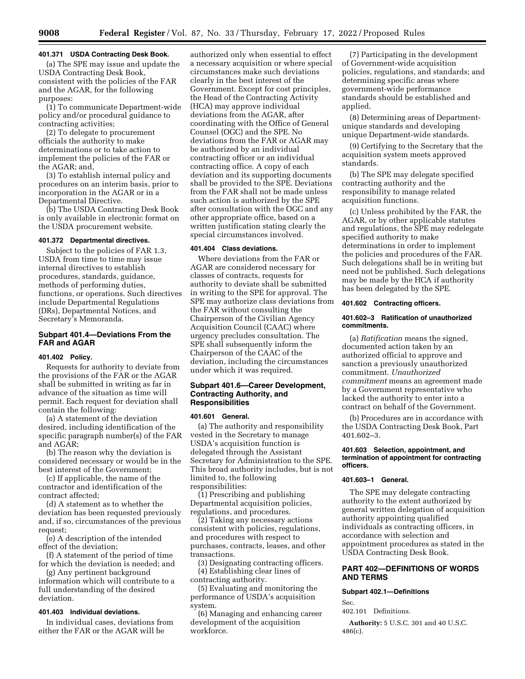## **401.371 USDA Contracting Desk Book.**

(a) The SPE may issue and update the USDA Contracting Desk Book, consistent with the policies of the FAR and the AGAR, for the following purposes:

(1) To communicate Department-wide policy and/or procedural guidance to contracting activities;

(2) To delegate to procurement officials the authority to make determinations or to take action to implement the policies of the FAR or the AGAR; and,

(3) To establish internal policy and procedures on an interim basis, prior to incorporation in the AGAR or in a Departmental Directive.

(b) The USDA Contracting Desk Book is only available in electronic format on the USDA procurement website.

#### **401.372 Departmental directives.**

Subject to the policies of FAR 1.3, USDA from time to time may issue internal directives to establish procedures, standards, guidance, methods of performing duties, functions, or operations. Such directives include Departmental Regulations (DRs), Departmental Notices, and Secretary's Memoranda.

## **Subpart 401.4—Deviations From the FAR and AGAR**

## **401.402 Policy.**

Requests for authority to deviate from the provisions of the FAR or the AGAR shall be submitted in writing as far in advance of the situation as time will permit. Each request for deviation shall contain the following:

(a) A statement of the deviation desired, including identification of the specific paragraph number(s) of the FAR and AGAR;

(b) The reason why the deviation is considered necessary or would be in the best interest of the Government;

(c) If applicable, the name of the contractor and identification of the contract affected;

(d) A statement as to whether the deviation has been requested previously and, if so, circumstances of the previous request;

(e) A description of the intended effect of the deviation;

(f) A statement of the period of time for which the deviation is needed; and

(g) Any pertinent background information which will contribute to a full understanding of the desired deviation.

#### **401.403 Individual deviations.**

In individual cases, deviations from either the FAR or the AGAR will be

authorized only when essential to effect a necessary acquisition or where special circumstances make such deviations clearly in the best interest of the Government. Except for cost principles, the Head of the Contracting Activity (HCA) may approve individual deviations from the AGAR, after coordinating with the Office of General Counsel (OGC) and the SPE. No deviations from the FAR or AGAR may be authorized by an individual contracting officer or an individual contracting office. A copy of each deviation and its supporting documents shall be provided to the SPE. Deviations from the FAR shall not be made unless such action is authorized by the SPE after consultation with the OGC and any other appropriate office, based on a written justification stating clearly the special circumstances involved.

## **401.404 Class deviations.**

Where deviations from the FAR or AGAR are considered necessary for classes of contracts, requests for authority to deviate shall be submitted in writing to the SPE for approval. The SPE may authorize class deviations from the FAR without consulting the Chairperson of the Civilian Agency Acquisition Council (CAAC) where urgency precludes consultation. The SPE shall subsequently inform the Chairperson of the CAAC of the deviation, including the circumstances under which it was required.

## **Subpart 401.6—Career Development, Contracting Authority, and Responsibilities**

#### **401.601 General.**

(a) The authority and responsibility vested in the Secretary to manage USDA's acquisition function is delegated through the Assistant Secretary for Administration to the SPE. This broad authority includes, but is not limited to, the following responsibilities:

(1) Prescribing and publishing Departmental acquisition policies, regulations, and procedures.

(2) Taking any necessary actions consistent with policies, regulations, and procedures with respect to purchases, contracts, leases, and other transactions.

(3) Designating contracting officers. (4) Establishing clear lines of contracting authority.

(5) Evaluating and monitoring the performance of USDA's acquisition system.

(6) Managing and enhancing career development of the acquisition workforce.

(7) Participating in the development of Government-wide acquisition policies, regulations, and standards; and determining specific areas where government-wide performance standards should be established and applied.

(8) Determining areas of Departmentunique standards and developing unique Department-wide standards.

(9) Certifying to the Secretary that the acquisition system meets approved standards.

(b) The SPE may delegate specified contracting authority and the responsibility to manage related acquisition functions.

(c) Unless prohibited by the FAR, the AGAR, or by other applicable statutes and regulations, the SPE may redelegate specified authority to make determinations in order to implement the policies and procedures of the FAR. Such delegations shall be in writing but need not be published. Such delegations may be made by the HCA if authority has been delegated by the SPE.

## **401.602 Contracting officers.**

#### **401.602–3 Ratification of unauthorized commitments.**

(a) *Ratification* means the signed, documented action taken by an authorized official to approve and sanction a previously unauthorized commitment. *Unauthorized commitment* means an agreement made by a Government representative who lacked the authority to enter into a contract on behalf of the Government.

(b) Procedures are in accordance with the USDA Contracting Desk Book, Part 401.602–3.

#### **401.603 Selection, appointment, and termination of appointment for contracting officers.**

#### **401.603–1 General.**

The SPE may delegate contracting authority to the extent authorized by general written delegation of acquisition authority appointing qualified individuals as contracting officers, in accordance with selection and appointment procedures as stated in the USDA Contracting Desk Book.

## **PART 402—DEFINITIONS OF WORDS AND TERMS**

#### **Subpart 402.1—Definitions**

Sec.

402.101 Definitions.

**Authority:** 5 U.S.C. 301 and 40 U.S.C. 486(c).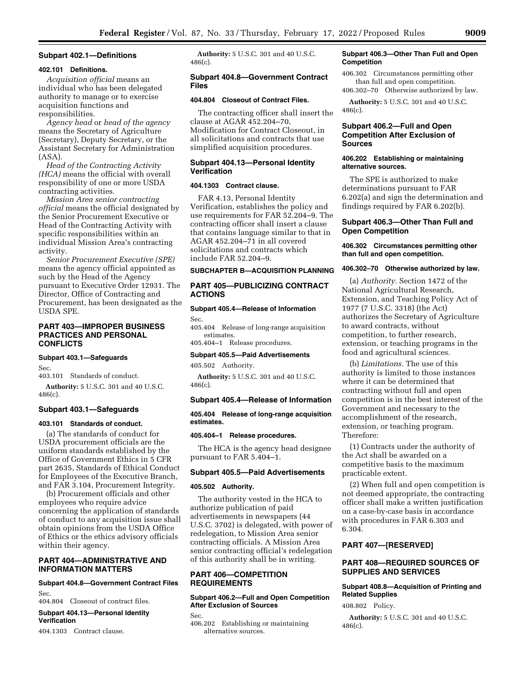#### **Subpart 402.1—Definitions**

#### **402.101 Definitions.**

*Acquisition official* means an individual who has been delegated authority to manage or to exercise acquisition functions and responsibilities.

*Agency head* or *head of the agency*  means the Secretary of Agriculture (Secretary), Deputy Secretary, or the Assistant Secretary for Administration (ASA).

*Head of the Contracting Activity (HCA)* means the official with overall responsibility of one or more USDA contracting activities.

*Mission Area senior contracting official* means the official designated by the Senior Procurement Executive or Head of the Contracting Activity with specific responsibilities within an individual Mission Area's contracting activity.

*Senior Procurement Executive (SPE)*  means the agency official appointed as such by the Head of the Agency pursuant to Executive Order 12931. The Director, Office of Contracting and Procurement, has been designated as the USDA SPE.

## **PART 403—IMPROPER BUSINESS PRACTICES AND PERSONAL CONFLICTS**

## **Subpart 403.1—Safeguards**

Sec.

403.101 Standards of conduct.

**Authority:** 5 U.S.C. 301 and 40 U.S.C. 486(c).

## **Subpart 403.1—Safeguards**

#### **403.101 Standards of conduct.**

(a) The standards of conduct for USDA procurement officials are the uniform standards established by the Office of Government Ethics in 5 CFR part 2635, Standards of Ethical Conduct for Employees of the Executive Branch, and FAR 3.104, Procurement Integrity.

(b) Procurement officials and other employees who require advice concerning the application of standards of conduct to any acquisition issue shall obtain opinions from the USDA Office of Ethics or the ethics advisory officials within their agency.

## **PART 404—ADMINISTRATIVE AND INFORMATION MATTERS**

## **Subpart 404.8—Government Contract Files**  Sec.

404.804 Closeout of contract files.

#### **Subpart 404.13—Personal Identity Verification**

404.1303 Contract clause.

**Authority:** 5 U.S.C. 301 and 40 U.S.C. 486(c).

## **Subpart 404.8—Government Contract Files**

#### **404.804 Closeout of Contract Files.**

The contracting officer shall insert the clause at AGAR 452.204–70, Modification for Contract Closeout, in all solicitations and contracts that use simplified acquisition procedures.

## **Subpart 404.13—Personal Identity Verification**

## **404.1303 Contract clause.**

FAR 4.13, Personal Identity Verification, establishes the policy and use requirements for FAR 52.204–9. The contracting officer shall insert a clause that contains language similar to that in AGAR 452.204–71 in all covered solicitations and contracts which include FAR 52.204–9.

#### **SUBCHAPTER B—ACQUISITION PLANNING**

## **PART 405—PUBLICIZING CONTRACT ACTIONS**

# **Subpart 405.4—Release of Information**

Sec.

405.404 Release of long-range acquisition estimates.

405.404–1 Release procedures.

## **Subpart 405.5—Paid Advertisements**

405.502 Authority.

**Authority:** 5 U.S.C. 301 and 40 U.S.C. 486(c).

## **Subpart 405.4—Release of Information**

## **405.404 Release of long-range acquisition estimates.**

#### **405.404–1 Release procedures.**

The HCA is the agency head designee pursuant to FAR 5.404–1.

#### **Subpart 405.5—Paid Advertisements**

#### **405.502 Authority.**

The authority vested in the HCA to authorize publication of paid advertisements in newspapers (44 U.S.C. 3702) is delegated, with power of redelegation, to Mission Area senior contracting officials. A Mission Area senior contracting official's redelegation of this authority shall be in writing.

## **PART 406—COMPETITION REQUIREMENTS**

## **Subpart 406.2—Full and Open Competition After Exclusion of Sources**

Sec.

406.202 Establishing or maintaining alternative sources.

## **Subpart 406.3—Other Than Full and Open Competition**

406.302 Circumstances permitting other than full and open competition.

406.302–70 Otherwise authorized by law. **Authority:** 5 U.S.C. 301 and 40 U.S.C.

486(c).

## **Subpart 406.2—Full and Open Competition After Exclusion of Sources**

## **406.202 Establishing or maintaining alternative sources.**

The SPE is authorized to make determinations pursuant to FAR 6.202(a) and sign the determination and findings required by FAR 6.202(b).

## **Subpart 406.3—Other Than Full and Open Competition**

### **406.302 Circumstances permitting other than full and open competition.**

### **406.302–70 Otherwise authorized by law.**

(a) *Authority.* Section 1472 of the National Agricultural Research, Extension, and Teaching Policy Act of 1977 (7 U.S.C. 3318) (the Act) authorizes the Secretary of Agriculture to award contracts, without competition, to further research, extension, or teaching programs in the food and agricultural sciences.

(b) *Limitations.* The use of this authority is limited to those instances where it can be determined that contracting without full and open competition is in the best interest of the Government and necessary to the accomplishment of the research, extension, or teaching program. Therefore:

(1) Contracts under the authority of the Act shall be awarded on a competitive basis to the maximum practicable extent.

(2) When full and open competition is not deemed appropriate, the contracting officer shall make a written justification on a case-by-case basis in accordance with procedures in FAR 6.303 and 6.304.

## **PART 407—[RESERVED]**

## **PART 408—REQUIRED SOURCES OF SUPPLIES AND SERVICES**

## **Subpart 408.8—Acquisition of Printing and Related Supplies**

408.802 Policy.

**Authority:** 5 U.S.C. 301 and 40 U.S.C. 486(c).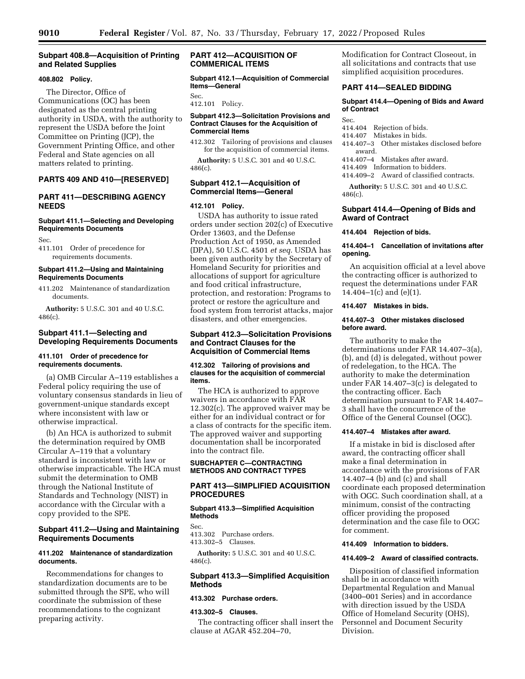## **Subpart 408.8—Acquisition of Printing and Related Supplies**

## **408.802 Policy.**

The Director, Office of Communications (OC) has been designated as the central printing authority in USDA, with the authority to represent the USDA before the Joint Committee on Printing (JCP), the Government Printing Office, and other Federal and State agencies on all matters related to printing.

## **PARTS 409 AND 410—[RESERVED]**

## **PART 411—DESCRIBING AGENCY NEEDS**

## **Subpart 411.1—Selecting and Developing Requirements Documents**

Sec.

411.101 Order of precedence for requirements documents.

#### **Subpart 411.2—Using and Maintaining Requirements Documents**

411.202 Maintenance of standardization documents.

**Authority:** 5 U.S.C. 301 and 40 U.S.C. 486(c).

## **Subpart 411.1—Selecting and Developing Requirements Documents**

#### **411.101 Order of precedence for requirements documents.**

(a) OMB Circular A–119 establishes a Federal policy requiring the use of voluntary consensus standards in lieu of government-unique standards except where inconsistent with law or otherwise impractical.

(b) An HCA is authorized to submit the determination required by OMB Circular A–119 that a voluntary standard is inconsistent with law or otherwise impracticable. The HCA must submit the determination to OMB through the National Institute of Standards and Technology (NIST) in accordance with the Circular with a copy provided to the SPE.

## **Subpart 411.2—Using and Maintaining Requirements Documents**

## **411.202 Maintenance of standardization documents.**

Recommendations for changes to standardization documents are to be submitted through the SPE, who will coordinate the submission of these recommendations to the cognizant preparing activity.

## **PART 412—ACQUISITION OF COMMERICAL ITEMS**

**Subpart 412.1—Acquisition of Commercial Items—General** 

Sec. 412.101 Policy.

## **Subpart 412.3—Solicitation Provisions and Contract Clauses for the Acquisition of Commercial Items**

412.302 Tailoring of provisions and clauses for the acquisition of commercial items.

**Authority:** 5 U.S.C. 301 and 40 U.S.C. 486(c).

## **Subpart 412.1—Acquisition of Commercial Items—General**

## **412.101 Policy.**

USDA has authority to issue rated orders under section 202(c) of Executive Order 13603, and the Defense Production Act of 1950, as Amended (DPA), 50 U.S.C. 4501 *et seq.* USDA has been given authority by the Secretary of Homeland Security for priorities and allocations of support for agriculture and food critical infrastructure, protection, and restoration: Programs to protect or restore the agriculture and food system from terrorist attacks, major disasters, and other emergencies.

## **Subpart 412.3—Solicitation Provisions and Contract Clauses for the Acquisition of Commercial Items**

## **412.302 Tailoring of provisions and clauses for the acquisition of commercial items.**

The HCA is authorized to approve waivers in accordance with FAR 12.302(c). The approved waiver may be either for an individual contract or for a class of contracts for the specific item. The approved waiver and supporting documentation shall be incorporated into the contract file.

## **SUBCHAPTER C—CONTRACTING METHODS AND CONTRACT TYPES**

## **PART 413—SIMPLIFIED ACQUISITION PROCEDURES**

#### **Subpart 413.3—Simplified Acquisition Methods**

Sec.

413.302 Purchase orders. 413.302–5 Clauses.

**Authority:** 5 U.S.C. 301 and 40 U.S.C. 486(c).

## **Subpart 413.3—Simplified Acquisition Methods**

## **413.302 Purchase orders.**

#### **413.302–5 Clauses.**

The contracting officer shall insert the clause at AGAR 452.204–70,

Modification for Contract Closeout, in all solicitations and contracts that use simplified acquisition procedures.

## **PART 414—SEALED BIDDING**

## **Subpart 414.4—Opening of Bids and Award of Contract**

- Sec.
- 414.404 Rejection of bids.
- 414.407 Mistakes in bids.
- 414.407–3 Other mistakes disclosed before award.
- 414.407–4 Mistakes after award.
- 414.409 Information to bidders.
- 414.409–2 Award of classified contracts.

**Authority:** 5 U.S.C. 301 and 40 U.S.C. 486(c).

## **Subpart 414.4—Opening of Bids and Award of Contract**

#### **414.404 Rejection of bids.**

## **414.404–1 Cancellation of invitations after opening.**

An acquisition official at a level above the contracting officer is authorized to request the determinations under FAR 14.404–1(c) and (e)(1).

## **414.407 Mistakes in bids.**

## **414.407–3 Other mistakes disclosed before award.**

The authority to make the determinations under FAR 14.407–3(a), (b), and (d) is delegated, without power of redelegation, to the HCA. The authority to make the determination under FAR 14.407–3(c) is delegated to the contracting officer. Each determination pursuant to FAR 14.407– 3 shall have the concurrence of the Office of the General Counsel (OGC).

## **414.407–4 Mistakes after award.**

If a mistake in bid is disclosed after award, the contracting officer shall make a final determination in accordance with the provisions of FAR 14.407–4 (b) and (c) and shall coordinate each proposed determination with OGC. Such coordination shall, at a minimum, consist of the contracting officer providing the proposed determination and the case file to OGC for comment.

#### **414.409 Information to bidders.**

#### **414.409–2 Award of classified contracts.**

Disposition of classified information shall be in accordance with Departmental Regulation and Manual (3400–001 Series) and in accordance with direction issued by the USDA Office of Homeland Security (OHS), Personnel and Document Security Division.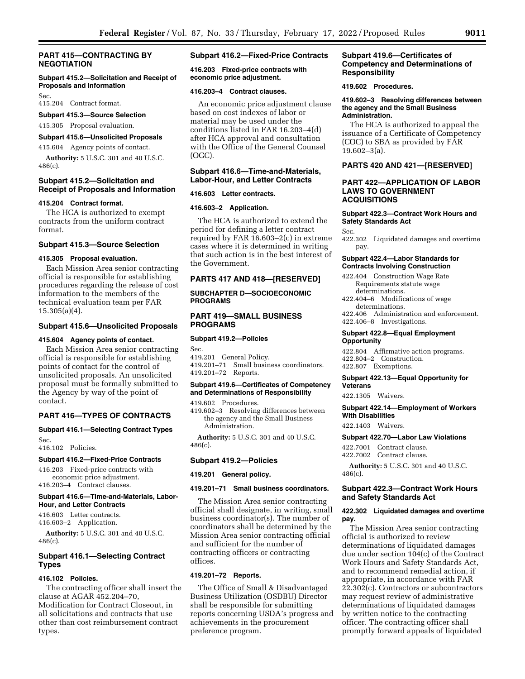## **PART 415—CONTRACTING BY NEGOTIATION**

## **Subpart 415.2—Solicitation and Receipt of Proposals and Information**

Sec.

415.204 Contract format.

## **Subpart 415.3—Source Selection**

415.305 Proposal evaluation.

# **Subpart 415.6—Unsolicited Proposals**

415.604 Agency points of contact.

**Authority:** 5 U.S.C. 301 and 40 U.S.C. 486(c).

## **Subpart 415.2—Solicitation and Receipt of Proposals and Information**

#### **415.204 Contract format.**

The HCA is authorized to exempt contracts from the uniform contract format.

## **Subpart 415.3—Source Selection**

## **415.305 Proposal evaluation.**

Each Mission Area senior contracting official is responsible for establishing procedures regarding the release of cost information to the members of the technical evaluation team per FAR 15.305(a)(4).

#### **Subpart 415.6—Unsolicited Proposals**

#### **415.604 Agency points of contact.**

Each Mission Area senior contracting official is responsible for establishing points of contact for the control of unsolicited proposals. An unsolicited proposal must be formally submitted to the Agency by way of the point of contact.

#### **PART 416—TYPES OF CONTRACTS**

# **Subpart 416.1—Selecting Contract Types**

Sec. 416.102 Policies.

#### **Subpart 416.2—Fixed-Price Contracts**

416.203 Fixed-price contracts with economic price adjustment. 416.203–4 Contract clauses.

#### **Subpart 416.6—Time-and-Materials, Labor-Hour, and Letter Contracts**

416.603 Letter contracts. 416.603–2 Application.

**Authority:** 5 U.S.C. 301 and 40 U.S.C. 486(c).

## **Subpart 416.1—Selecting Contract Types**

## **416.102 Policies.**

The contracting officer shall insert the clause at AGAR 452.204–70, Modification for Contract Closeout, in all solicitations and contracts that use other than cost reimbursement contract types.

## **Subpart 416.2—Fixed-Price Contracts**

**416.203 Fixed-price contracts with economic price adjustment.** 

#### **416.203–4 Contract clauses.**

An economic price adjustment clause based on cost indexes of labor or material may be used under the conditions listed in FAR 16.203–4(d) after HCA approval and consultation with the Office of the General Counsel (OGC).

## **Subpart 416.6—Time-and-Materials, Labor-Hour, and Letter Contracts**

## **416.603 Letter contracts.**

## **416.603–2 Application.**

The HCA is authorized to extend the period for defining a letter contract required by FAR 16.603–2(c) in extreme cases where it is determined in writing that such action is in the best interest of the Government.

## **PARTS 417 AND 418—[RESERVED]**

## **SUBCHAPTER D—SOCIOECONOMIC PROGRAMS**

## **PART 419—SMALL BUSINESS PROGRAMS**

#### **Subpart 419.2—Policies**

Sec. 419.201 General Policy. 419.201–71 Small business coordinators. 419.201–72 Reports.

#### **Subpart 419.6—Certificates of Competency and Determinations of Responsibility**

419.602 Procedures.

419.602–3 Resolving differences between the agency and the Small Business Administration.

**Authority:** 5 U.S.C. 301 and 40 U.S.C. 486(c).

#### **Subpart 419.2—Policies**

#### **419.201 General policy.**

#### **419.201–71 Small business coordinators.**

The Mission Area senior contracting official shall designate, in writing, small business coordinator(s). The number of coordinators shall be determined by the Mission Area senior contracting official and sufficient for the number of contracting officers or contracting offices.

## **419.201–72 Reports.**

The Office of Small & Disadvantaged Business Utilization (OSDBU) Director shall be responsible for submitting reports concerning USDA's progress and achievements in the procurement preference program.

## **Subpart 419.6—Certificates of Competency and Determinations of Responsibility**

**419.602 Procedures.** 

#### **419.602–3 Resolving differences between the agency and the Small Business Administration.**

The HCA is authorized to appeal the issuance of a Certificate of Competency (COC) to SBA as provided by FAR 19.602–3(a).

## **PARTS 420 AND 421—[RESERVED]**

## **PART 422—APPLICATION OF LABOR LAWS TO GOVERNMENT ACQUISITIONS**

## **Subpart 422.3—Contract Work Hours and Safety Standards Act**

Sec.

422.302 Liquidated damages and overtime pay.

## **Subpart 422.4—Labor Standards for Contracts Involving Construction**

- 422.404 Construction Wage Rate Requirements statute wage determinations.
- 422.404–6 Modifications of wage determinations.
- 422.406 Administration and enforcement. 422.406–8 Investigations.

## **Subpart 422.8—Equal Employment Opportunity**

422.804 Affirmative action programs. 422.804–2 Construction. 422.807 Exemptions.

#### **Subpart 422.13—Equal Opportunity for Veterans**

422.1305 Waivers.

#### **Subpart 422.14—Employment of Workers With Disabilities**

422.1403 Waivers.

## **Subpart 422.70—Labor Law Violations**

422.7001 Contract clause. 422.7002 Contract clause.

**Authority:** 5 U.S.C. 301 and 40 U.S.C. 486(c).

#### **Subpart 422.3—Contract Work Hours and Safety Standards Act**

#### **422.302 Liquidated damages and overtime pay.**

The Mission Area senior contracting official is authorized to review determinations of liquidated damages due under section 104(c) of the Contract Work Hours and Safety Standards Act, and to recommend remedial action, if appropriate, in accordance with FAR 22.302(c). Contractors or subcontractors may request review of administrative determinations of liquidated damages by written notice to the contracting officer. The contracting officer shall promptly forward appeals of liquidated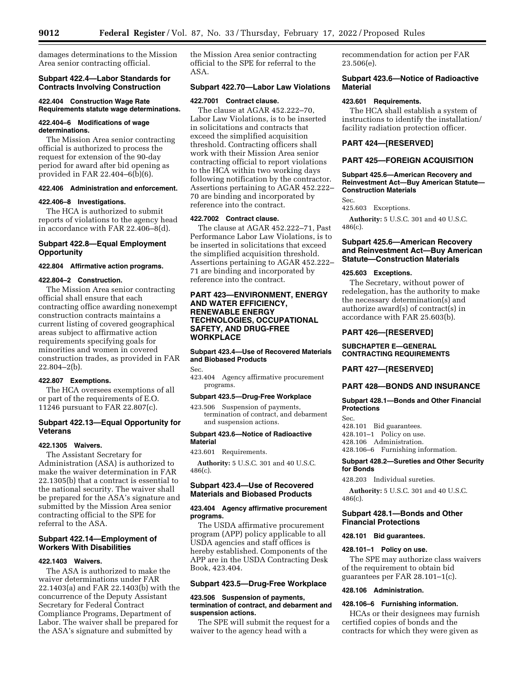damages determinations to the Mission Area senior contracting official.

## **Subpart 422.4—Labor Standards for Contracts Involving Construction**

#### **422.404 Construction Wage Rate Requirements statute wage determinations.**

## **422.404–6 Modifications of wage determinations.**

The Mission Area senior contracting official is authorized to process the request for extension of the 90-day period for award after bid opening as provided in FAR 22.404-6 $(b)(6)$ .

## **422.406 Administration and enforcement.**

## **422.406–8 Investigations.**

The HCA is authorized to submit reports of violations to the agency head in accordance with FAR 22.406–8(d).

## **Subpart 422.8—Equal Employment Opportunity**

#### **422.804 Affirmative action programs.**

#### **422.804–2 Construction.**

The Mission Area senior contracting official shall ensure that each contracting office awarding nonexempt construction contracts maintains a current listing of covered geographical areas subject to affirmative action requirements specifying goals for minorities and women in covered construction trades, as provided in FAR 22.804–2(b).

## **422.807 Exemptions.**

The HCA oversees exemptions of all or part of the requirements of E.O. 11246 pursuant to FAR 22.807(c).

## **Subpart 422.13—Equal Opportunity for Veterans**

#### **422.1305 Waivers.**

The Assistant Secretary for Administration (ASA) is authorized to make the waiver determination in FAR 22.1305(b) that a contract is essential to the national security. The waiver shall be prepared for the ASA's signature and submitted by the Mission Area senior contracting official to the SPE for referral to the ASA.

## **Subpart 422.14—Employment of Workers With Disabilities**

#### **422.1403 Waivers.**

The ASA is authorized to make the waiver determinations under FAR 22.1403(a) and FAR 22.1403(b) with the concurrence of the Deputy Assistant Secretary for Federal Contract Compliance Programs, Department of Labor. The waiver shall be prepared for the ASA's signature and submitted by

the Mission Area senior contracting official to the SPE for referral to the ASA.

#### **Subpart 422.70—Labor Law Violations**

#### **422.7001 Contract clause.**

The clause at AGAR 452.222–70, Labor Law Violations, is to be inserted in solicitations and contracts that exceed the simplified acquisition threshold. Contracting officers shall work with their Mission Area senior contracting official to report violations to the HCA within two working days following notification by the contractor. Assertions pertaining to AGAR 452.222– 70 are binding and incorporated by reference into the contract.

#### **422.7002 Contract clause.**

The clause at AGAR 452.222–71, Past Performance Labor Law Violations, is to be inserted in solicitations that exceed the simplified acquisition threshold. Assertions pertaining to AGAR 452.222– 71 are binding and incorporated by reference into the contract.

## **PART 423—ENVIRONMENT, ENERGY AND WATER EFFICIENCY, RENEWABLE ENERGY TECHNOLOGIES, OCCUPATIONAL SAFETY, AND DRUG-FREE WORKPLACE**

## **Subpart 423.4—Use of Recovered Materials and Biobased Products**

Sec.

423.404 Agency affirmative procurement programs.

#### **Subpart 423.5—Drug-Free Workplace**

423.506 Suspension of payments, termination of contract, and debarment and suspension actions.

## **Subpart 423.6—Notice of Radioactive Material**

#### 423.601 Requirements.

**Authority:** 5 U.S.C. 301 and 40 U.S.C. 486(c).

## **Subpart 423.4—Use of Recovered Materials and Biobased Products**

## **423.404 Agency affirmative procurement programs.**

The USDA affirmative procurement program (APP) policy applicable to all USDA agencies and staff offices is hereby established. Components of the APP are in the USDA Contracting Desk Book, 423.404.

## **Subpart 423.5—Drug-Free Workplace**

#### **423.506 Suspension of payments, termination of contract, and debarment and suspension actions.**

The SPE will submit the request for a waiver to the agency head with a

recommendation for action per FAR 23.506(e).

## **Subpart 423.6—Notice of Radioactive Material**

#### **423.601 Requirements.**

The HCA shall establish a system of instructions to identify the installation/ facility radiation protection officer.

## **PART 424—[RESERVED]**

## **PART 425—FOREIGN ACQUISITION**

## **Subpart 425.6—American Recovery and Reinvestment Act—Buy American Statute— Construction Materials**

Sec. 425.603 Exceptions.

**Authority:** 5 U.S.C. 301 and 40 U.S.C. 486(c).

## **Subpart 425.6—American Recovery and Reinvestment Act—Buy American Statute—Construction Materials**

### **425.603 Exceptions.**

The Secretary, without power of redelegation, has the authority to make the necessary determination(s) and authorize award(s) of contract(s) in accordance with FAR 25.603(b).

## **PART 426—[RESERVED]**

## **SUBCHAPTER E—GENERAL CONTRACTING REQUIREMENTS**

## **PART 427—[RESERVED]**

## **PART 428—BONDS AND INSURANCE**

#### **Subpart 428.1—Bonds and Other Financial Protections**

Sec.

- 428.101 Bid guarantees.
- 428.101–1 Policy on use.
- 428.106 Administration.

428.106–6 Furnishing information.

## **Subpart 428.2—Sureties and Other Security for Bonds**

428.203 Individual sureties.

**Authority:** 5 U.S.C. 301 and 40 U.S.C. 486(c).

## **Subpart 428.1—Bonds and Other Financial Protections**

## **428.101 Bid guarantees.**

## **428.101–1 Policy on use.**

The SPE may authorize class waivers of the requirement to obtain bid guarantees per FAR 28.101–1(c).

## **428.106 Administration.**

## **428.106–6 Furnishing information.**

HCAs or their designees may furnish certified copies of bonds and the contracts for which they were given as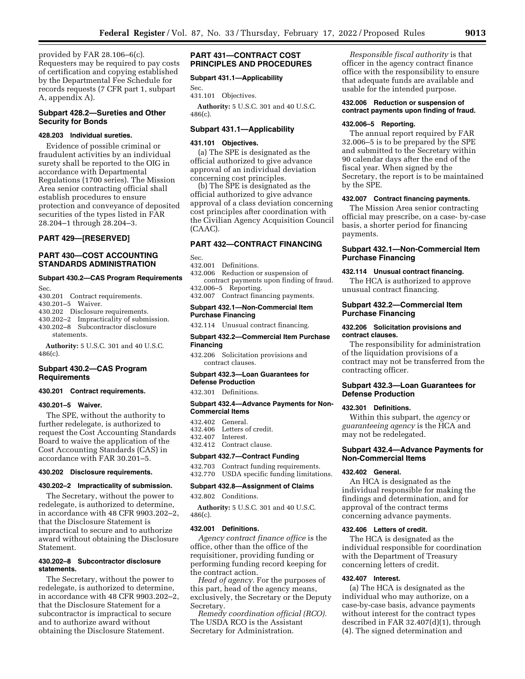provided by FAR 28.106–6(c). Requesters may be required to pay costs of certification and copying established by the Departmental Fee Schedule for records requests (7 CFR part 1, subpart A, appendix A).

## **Subpart 428.2—Sureties and Other Security for Bonds**

## **428.203 Individual sureties.**

Evidence of possible criminal or fraudulent activities by an individual surety shall be reported to the OIG in accordance with Departmental Regulations (1700 series). The Mission Area senior contracting official shall establish procedures to ensure protection and conveyance of deposited securities of the types listed in FAR 28.204–1 through 28.204–3.

## **PART 429—[RESERVED]**

## **PART 430—COST ACCOUNTING STANDARDS ADMINISTRATION**

## **Subpart 430.2—CAS Program Requirements**

Sec.

430.201 Contract requirements. 430.201–5 Waiver. 430.202 Disclosure requirements. 430.202–2 Impracticality of submission.

430.202–8 Subcontractor disclosure

statements.

**Authority:** 5 U.S.C. 301 and 40 U.S.C. 486(c).

## **Subpart 430.2—CAS Program Requirements**

#### **430.201 Contract requirements.**

#### **430.201–5 Waiver.**

The SPE, without the authority to further redelegate, is authorized to request the Cost Accounting Standards Board to waive the application of the Cost Accounting Standards (CAS) in accordance with FAR 30.201–5.

#### **430.202 Disclosure requirements.**

#### **430.202–2 Impracticality of submission.**

The Secretary, without the power to redelegate, is authorized to determine, in accordance with 48 CFR 9903.202–2, that the Disclosure Statement is impractical to secure and to authorize award without obtaining the Disclosure Statement.

## **430.202–8 Subcontractor disclosure statements.**

The Secretary, without the power to redelegate, is authorized to determine, in accordance with 48 CFR 9903.202–2, that the Disclosure Statement for a subcontractor is impractical to secure and to authorize award without obtaining the Disclosure Statement.

## **PART 431—CONTRACT COST PRINCIPLES AND PROCEDURES**

#### **Subpart 431.1—Applicability**

Sec. 431.101 Objectives.

**Authority:** 5 U.S.C. 301 and 40 U.S.C. 486(c).

#### **Subpart 431.1—Applicability**

## **431.101 Objectives.**

(a) The SPE is designated as the official authorized to give advance approval of an individual deviation concerning cost principles.

(b) The SPE is designated as the official authorized to give advance approval of a class deviation concerning cost principles after coordination with the Civilian Agency Acquisition Council (CAAC).

## **PART 432—CONTRACT FINANCING**

Sec.

#### 432.001 Definitions.

432.006 Reduction or suspension of contract payments upon finding of fraud. 432.006–5 Reporting. 432.007 Contract financing payments.

#### **Subpart 432.1—Non-Commercial Item Purchase Financing**

432.114 Unusual contract financing.

#### **Subpart 432.2—Commercial Item Purchase Financing**

432.206 Solicitation provisions and contract clauses.

#### **Subpart 432.3—Loan Guarantees for Defense Production**

432.301 Definitions.

## **Subpart 432.4—Advance Payments for Non-Commercial Items**

- 432.402 General.<br>432.406 Letters o
- Letters of credit. 432.407 Interest.
- 432.412 Contract clause.

## **Subpart 432.7—Contract Funding**

432.703 Contract funding requirements. 432.770 USDA specific funding limitations.

#### **Subpart 432.8—Assignment of Claims**

432.802 Conditions.

**Authority:** 5 U.S.C. 301 and 40 U.S.C. 486(c).

#### **432.001 Definitions.**

*Agency contract finance office* is the office, other than the office of the requisitioner, providing funding or performing funding record keeping for the contract action.

*Head of agency.* For the purposes of this part, head of the agency means, exclusively, the Secretary or the Deputy Secretary.

*Remedy coordination official (RCO).*  The USDA RCO is the Assistant Secretary for Administration.

*Responsible fiscal authority* is that officer in the agency contract finance office with the responsibility to ensure that adequate funds are available and usable for the intended purpose.

### **432.006 Reduction or suspension of contract payments upon finding of fraud.**

#### **432.006–5 Reporting.**

The annual report required by FAR 32.006–5 is to be prepared by the SPE and submitted to the Secretary within 90 calendar days after the end of the fiscal year. When signed by the Secretary, the report is to be maintained by the SPE.

## **432.007 Contract financing payments.**

The Mission Area senior contracting official may prescribe, on a case- by-case basis, a shorter period for financing payments.

## **Subpart 432.1—Non-Commercial Item Purchase Financing**

#### **432.114 Unusual contract financing.**

The HCA is authorized to approve unusual contract financing.

## **Subpart 432.2—Commercial Item Purchase Financing**

#### **432.206 Solicitation provisions and contract clauses.**

The responsibility for administration of the liquidation provisions of a contract may not be transferred from the contracting officer.

## **Subpart 432.3—Loan Guarantees for Defense Production**

#### **432.301 Definitions.**

Within this subpart, the *agency* or *guaranteeing agency* is the HCA and may not be redelegated.

## **Subpart 432.4—Advance Payments for Non-Commercial Items**

#### **432.402 General.**

An HCA is designated as the individual responsible for making the findings and determination, and for approval of the contract terms concerning advance payments.

#### **432.406 Letters of credit.**

The HCA is designated as the individual responsible for coordination with the Department of Treasury concerning letters of credit.

## **432.407 Interest.**

(a) The HCA is designated as the individual who may authorize, on a case-by-case basis, advance payments without interest for the contract types described in FAR 32.407(d)(1), through (4). The signed determination and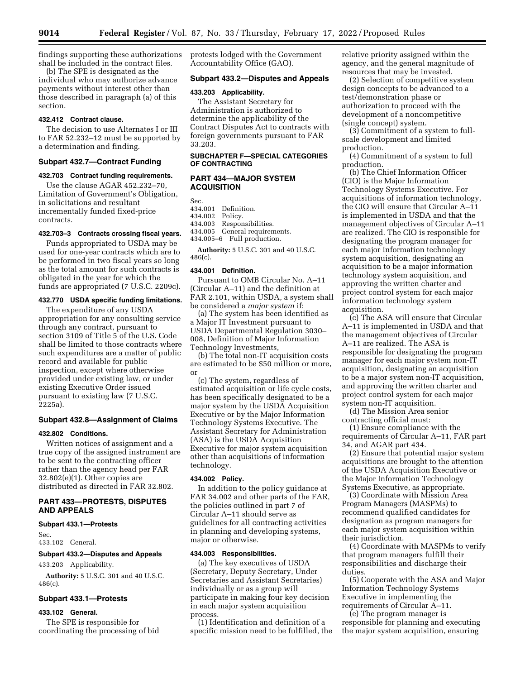findings supporting these authorizations shall be included in the contract files.

(b) The SPE is designated as the individual who may authorize advance payments without interest other than those described in paragraph (a) of this section.

## **432.412 Contract clause.**

The decision to use Alternates I or III to FAR 52.232–12 must be supported by a determination and finding.

## **Subpart 432.7—Contract Funding**

#### **432.703 Contract funding requirements.**

Use the clause AGAR 452.232–70, Limitation of Government's Obligation, in solicitations and resultant incrementally funded fixed-price contracts.

## **432.703–3 Contracts crossing fiscal years.**

Funds appropriated to USDA may be used for one-year contracts which are to be performed in two fiscal years so long as the total amount for such contracts is obligated in the year for which the funds are appropriated (7 U.S.C. 2209c).

## **432.770 USDA specific funding limitations.**

The expenditure of any USDA appropriation for any consulting service through any contract, pursuant to section 3109 of Title 5 of the U.S. Code shall be limited to those contracts where such expenditures are a matter of public record and available for public inspection, except where otherwise provided under existing law, or under existing Executive Order issued pursuant to existing law (7 U.S.C. 2225a).

## **Subpart 432.8—Assignment of Claims**

#### **432.802 Conditions.**

Written notices of assignment and a true copy of the assigned instrument are to be sent to the contracting officer rather than the agency head per FAR 32.802(e)(1). Other copies are distributed as directed in FAR 32.802.

## **PART 433—PROTESTS, DISPUTES AND APPEALS**

#### **Subpart 433.1—Protests**

Sec.

433.102 General.

#### **Subpart 433.2—Disputes and Appeals**

433.203 Applicability.

**Authority:** 5 U.S.C. 301 and 40 U.S.C. 486(c).

#### **Subpart 433.1—Protests**

## **433.102 General.**

The SPE is responsible for coordinating the processing of bid protests lodged with the Government Accountability Office (GAO).

## **Subpart 433.2—Disputes and Appeals**

#### **433.203 Applicability.**

The Assistant Secretary for Administration is authorized to determine the applicability of the Contract Disputes Act to contracts with foreign governments pursuant to FAR 33.203.

## **SUBCHAPTER F—SPECIAL CATEGORIES OF CONTRACTING**

## **PART 434—MAJOR SYSTEM ACQUISITION**

Sec.<br>434.001 Definition. 434.002 Policy. 434.003 Responsibilities.

434.005 General requirements.

434.005–6 Full production.

**Authority:** 5 U.S.C. 301 and 40 U.S.C. 486(c).

#### **434.001 Definition.**

Pursuant to OMB Circular No. A–11 (Circular A–11) and the definition at FAR 2.101, within USDA, a system shall be considered a *major system* if:

(a) The system has been identified as a Major IT Investment pursuant to USDA Departmental Regulation 3030– 008, Definition of Major Information Technology Investments,

(b) The total non-IT acquisition costs are estimated to be \$50 million or more, or

(c) The system, regardless of estimated acquisition or life cycle costs, has been specifically designated to be a major system by the USDA Acquisition Executive or by the Major Information Technology Systems Executive. The Assistant Secretary for Administration (ASA) is the USDA Acquisition Executive for major system acquisition other than acquisitions of information technology.

## **434.002 Policy.**

In addition to the policy guidance at FAR 34.002 and other parts of the FAR, the policies outlined in part 7 of Circular A–11 should serve as guidelines for all contracting activities in planning and developing systems, major or otherwise.

#### **434.003 Responsibilities.**

(a) The key executives of USDA (Secretary, Deputy Secretary, Under Secretaries and Assistant Secretaries) individually or as a group will participate in making four key decision in each major system acquisition process.

(1) Identification and definition of a specific mission need to be fulfilled, the relative priority assigned within the agency, and the general magnitude of resources that may be invested.

(2) Selection of competitive system design concepts to be advanced to a test/demonstration phase or authorization to proceed with the development of a noncompetitive (single concept) system.

(3) Commitment of a system to fullscale development and limited production.

(4) Commitment of a system to full production.

(b) The Chief Information Officer (CIO) is the Major Information Technology Systems Executive. For acquisitions of information technology, the CIO will ensure that Circular A–11 is implemented in USDA and that the management objectives of Circular A–11 are realized. The CIO is responsible for designating the program manager for each major information technology system acquisition, designating an acquisition to be a major information technology system acquisition, and approving the written charter and project control system for each major information technology system acquisition.

(c) The ASA will ensure that Circular A–11 is implemented in USDA and that the management objectives of Circular A–11 are realized. The ASA is responsible for designating the program manager for each major system non-IT acquisition, designating an acquisition to be a major system non-IT acquisition, and approving the written charter and project control system for each major system non-IT acquisition.

(d) The Mission Area senior contracting official must:

(1) Ensure compliance with the requirements of Circular A–11, FAR part 34, and AGAR part 434.

(2) Ensure that potential major system acquisitions are brought to the attention of the USDA Acquisition Executive or the Major Information Technology Systems Executive, as appropriate.

(3) Coordinate with Mission Area Program Managers (MASPMs) to recommend qualified candidates for designation as program managers for each major system acquisition within their jurisdiction.

(4) Coordinate with MASPMs to verify that program managers fulfill their responsibilities and discharge their duties.

(5) Cooperate with the ASA and Major Information Technology Systems Executive in implementing the requirements of Circular A–11.

(e) The program manager is responsible for planning and executing the major system acquisition, ensuring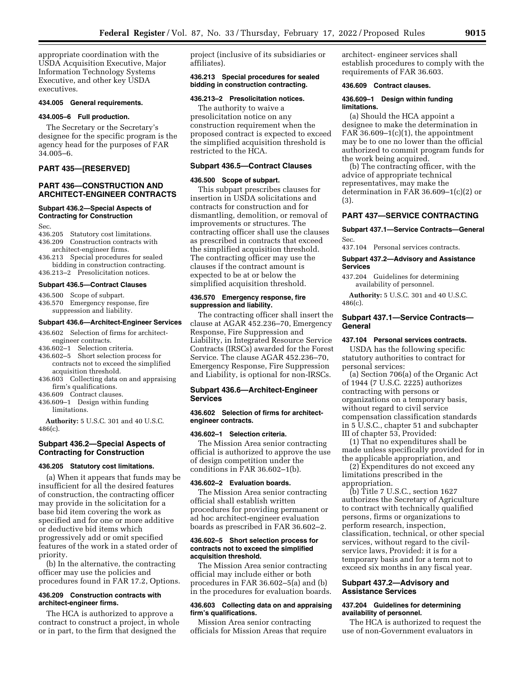appropriate coordination with the USDA Acquisition Executive, Major Information Technology Systems Executive, and other key USDA executives.

#### **434.005 General requirements.**

## **434.005–6 Full production.**

The Secretary or the Secretary's designee for the specific program is the agency head for the purposes of FAR 34.005–6.

## **PART 435—[RESERVED]**

## **PART 436—CONSTRUCTION AND ARCHITECT-ENGINEER CONTRACTS**

## **Subpart 436.2—Special Aspects of Contracting for Construction**

Sec.

- 436.205 Statutory cost limitations. 436.209 Construction contracts with architect-engineer firms.
- 436.213 Special procedures for sealed bidding in construction contracting. 436.213–2 Presolicitation notices.

#### **Subpart 436.5—Contract Clauses**

- 436.500 Scope of subpart.
- 436.570 Emergency response, fire suppression and liability.

#### **Subpart 436.6—Architect-Engineer Services**

- 436.602 Selection of firms for architectengineer contracts.
- 436.602–1 Selection criteria.
- 436.602–5 Short selection process for contracts not to exceed the simplified
- acquisition threshold. 436.603 Collecting data on and appraising firm's qualifications.
- 436.609 Contract clauses.
- 436.609–1 Design within funding
- limitations.

**Authority:** 5 U.S.C. 301 and 40 U.S.C. 486(c).

## **Subpart 436.2—Special Aspects of Contracting for Construction**

#### **436.205 Statutory cost limitations.**

(a) When it appears that funds may be insufficient for all the desired features of construction, the contracting officer may provide in the solicitation for a base bid item covering the work as specified and for one or more additive or deductive bid items which progressively add or omit specified features of the work in a stated order of priority.

(b) In the alternative, the contracting officer may use the policies and procedures found in FAR 17.2, Options.

#### **436.209 Construction contracts with architect-engineer firms.**

The HCA is authorized to approve a contract to construct a project, in whole or in part, to the firm that designed the

project (inclusive of its subsidiaries or affiliates).

## **436.213 Special procedures for sealed bidding in construction contracting.**

#### **436.213–2 Presolicitation notices.**

The authority to waive a presolicitation notice on any construction requirement when the proposed contract is expected to exceed the simplified acquisition threshold is restricted to the HCA.

#### **Subpart 436.5—Contract Clauses**

#### **436.500 Scope of subpart.**

This subpart prescribes clauses for insertion in USDA solicitations and contracts for construction and for dismantling, demolition, or removal of improvements or structures. The contracting officer shall use the clauses as prescribed in contracts that exceed the simplified acquisition threshold. The contracting officer may use the clauses if the contract amount is expected to be at or below the simplified acquisition threshold.

#### **436.570 Emergency response, fire suppression and liability.**

The contracting officer shall insert the clause at AGAR 452.236–70, Emergency Response, Fire Suppression and Liability, in Integrated Resource Service Contracts (IRSCs) awarded for the Forest Service. The clause AGAR 452.236–70, Emergency Response, Fire Suppression and Liability, is optional for non-IRSCs.

## **Subpart 436.6—Architect-Engineer Services**

#### **436.602 Selection of firms for architectengineer contracts.**

#### **436.602–1 Selection criteria.**

The Mission Area senior contracting official is authorized to approve the use of design competition under the conditions in FAR 36.602–1(b).

## **436.602–2 Evaluation boards.**

The Mission Area senior contracting official shall establish written procedures for providing permanent or ad hoc architect-engineer evaluation boards as prescribed in FAR 36.602–2.

#### **436.602–5 Short selection process for contracts not to exceed the simplified acquisition threshold.**

The Mission Area senior contracting official may include either or both procedures in FAR 36.602–5(a) and (b) in the procedures for evaluation boards.

## **436.603 Collecting data on and appraising firm's qualifications.**

Mission Area senior contracting officials for Mission Areas that require architect- engineer services shall establish procedures to comply with the requirements of FAR 36.603.

#### **436.609 Contract clauses.**

## **436.609–1 Design within funding limitations.**

(a) Should the HCA appoint a designee to make the determination in FAR  $36.609-1(c)(1)$ , the appointment may be to one no lower than the official authorized to commit program funds for the work being acquired.

(b) The contracting officer, with the advice of appropriate technical representatives, may make the determination in FAR 36.609–1(c)(2) or (3).

## **PART 437—SERVICE CONTRACTING**

#### **Subpart 437.1—Service Contracts—General**  Sec.

437.104 Personal services contracts.

## **Subpart 437.2—Advisory and Assistance Services**

437.204 Guidelines for determining availability of personnel.

**Authority:** 5 U.S.C. 301 and 40 U.S.C. 486(c).

## **Subpart 437.1—Service Contracts— General**

## **437.104 Personal services contracts.**

USDA has the following specific statutory authorities to contract for personal services:

(a) Section 706(a) of the Organic Act of 1944 (7 U.S.C. 2225) authorizes contracting with persons or organizations on a temporary basis, without regard to civil service compensation classification standards in 5 U.S.C., chapter 51 and subchapter III of chapter 53, Provided:

(1) That no expenditures shall be made unless specifically provided for in the applicable appropriation, and

(2) Expenditures do not exceed any limitations prescribed in the appropriation.

(b) Title 7 U.S.C., section 1627 authorizes the Secretary of Agriculture to contract with technically qualified persons, firms or organizations to perform research, inspection, classification, technical, or other special services, without regard to the civilservice laws, Provided: it is for a temporary basis and for a term not to exceed six months in any fiscal year.

## **Subpart 437.2—Advisory and Assistance Services**

#### **437.204 Guidelines for determining availability of personnel.**

The HCA is authorized to request the use of non-Government evaluators in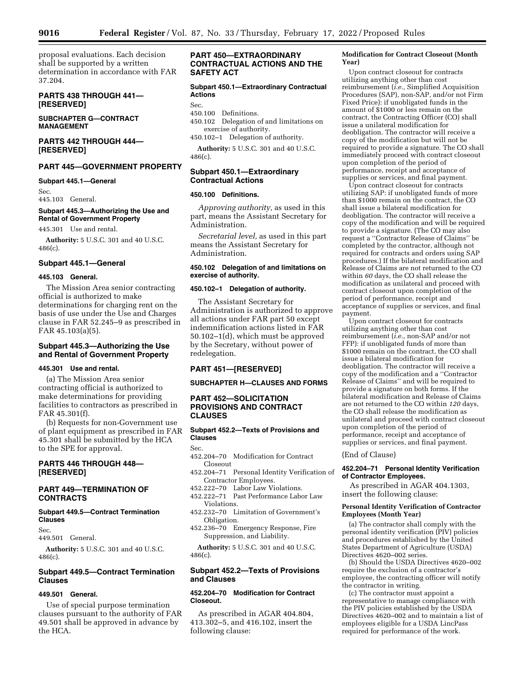proposal evaluations. Each decision shall be supported by a written determination in accordance with FAR 37.204.

## **PARTS 438 THROUGH 441— [RESERVED]**

**SUBCHAPTER G—CONTRACT MANAGEMENT** 

## **PARTS 442 THROUGH 444— [RESERVED]**

# **PART 445—GOVERNMENT PROPERTY**

## **Subpart 445.1—General**

Sec. 445.103 General.

## **Subpart 445.3—Authorizing the Use and Rental of Government Property**

445.301 Use and rental.

**Authority:** 5 U.S.C. 301 and 40 U.S.C. 486(c).

## **Subpart 445.1—General**

#### **445.103 General.**

The Mission Area senior contracting official is authorized to make determinations for charging rent on the basis of use under the Use and Charges clause in FAR 52.245–9 as prescribed in FAR 45.103(a)(5).

## **Subpart 445.3—Authorizing the Use and Rental of Government Property**

#### **445.301 Use and rental.**

(a) The Mission Area senior contracting official is authorized to make determinations for providing facilities to contractors as prescribed in FAR 45.301(f).

(b) Requests for non-Government use of plant equipment as prescribed in FAR 45.301 shall be submitted by the HCA to the SPE for approval.

## **PARTS 446 THROUGH 448— [RESERVED]**

## **PART 449—TERMINATION OF CONTRACTS**

## **Subpart 449.5—Contract Termination Clauses**

Sec.

449.501 General.

**Authority:** 5 U.S.C. 301 and 40 U.S.C. 486(c).

## **Subpart 449.5—Contract Termination Clauses**

#### **449.501 General.**

Use of special purpose termination clauses pursuant to the authority of FAR 49.501 shall be approved in advance by the HCA.

## **PART 450—EXTRAORDINARY CONTRACTUAL ACTIONS AND THE SAFETY ACT**

## **Subpart 450.1—Extraordinary Contractual Actions**

## Sec.<br>450.100 Definitions.

- 450.102 Delegation of and limitations on exercise of authority.
- 450.102–1 Delegation of authority.

**Authority:** 5 U.S.C. 301 and 40 U.S.C. 486(c).

#### **Subpart 450.1—Extraordinary Contractual Actions**

## **450.100 Definitions.**

*Approving authority,* as used in this part, means the Assistant Secretary for Administration.

*Secretarial level,* as used in this part means the Assistant Secretary for Administration.

## **450.102 Delegation of and limitations on exercise of authority.**

#### **450.102–1 Delegation of authority.**

The Assistant Secretary for Administration is authorized to approve all actions under FAR part 50 except indemnification actions listed in FAR 50.102–1(d), which must be approved by the Secretary, without power of redelegation.

## **PART 451—[RESERVED]**

## **SUBCHAPTER H—CLAUSES AND FORMS**

## **PART 452—SOLICITATION PROVISIONS AND CONTRACT CLAUSES**

## **Subpart 452.2—Texts of Provisions and Clauses**

Sec.

- 452.204–70 Modification for Contract Closeout
- 452.204–71 Personal Identity Verification of Contractor Employees.
- 452.222–70 Labor Law Violations. 452.222–71 Past Performance Labor Law
- Violations. 452.232–70 Limitation of Government's
- Obligation.
- 452.236–70 Emergency Response, Fire Suppression, and Liability.

**Authority:** 5 U.S.C. 301 and 40 U.S.C. 486(c).

## **Subpart 452.2—Texts of Provisions and Clauses**

## **452.204–70 Modification for Contract Closeout.**

As prescribed in AGAR 404.804, 413.302–5, and 416.102, insert the following clause:

#### **Modification for Contract Closeout (Month Year)**

Upon contract closeout for contracts utilizing anything other than cost reimbursement (*i.e.,* Simplified Acquisition Procedures (SAP), non-SAP, and/or not Firm Fixed Price): if unobligated funds in the amount of \$1000 or less remain on the contract, the Contracting Officer (CO) shall issue a unilateral modification for deobligation. The contractor will receive a copy of the modification but will not be required to provide a signature. The CO shall immediately proceed with contract closeout upon completion of the period of performance, receipt and acceptance of supplies or services, and final payment.

Upon contract closeout for contracts utilizing SAP: if unobligated funds of more than \$1000 remain on the contract, the CO shall issue a bilateral modification for deobligation. The contractor will receive a copy of the modification and will be required to provide a signature. (The CO may also request a ''Contractor Release of Claims'' be completed by the contractor, although not required for contracts and orders using SAP procedures.) If the bilateral modification and Release of Claims are not returned to the CO within *60* days, the CO shall release the modification as unilateral and proceed with contract closeout upon completion of the period of performance, receipt and acceptance of supplies or services, and final payment.

Upon contract closeout for contracts utilizing anything other than cost reimbursement (*i.e.,* non-SAP and/or not FFP): if unobligated funds of more than \$1000 remain on the contract, the CO shall issue a bilateral modification for deobligation. The contractor will receive a copy of the modification and a ''Contractor Release of Claims'' and will be required to provide a signature on both forms. If the bilateral modification and Release of Claims are not returned to the CO within *120* days, the CO shall release the modification as unilateral and proceed with contract closeout upon completion of the period of performance, receipt and acceptance of supplies or services, and final payment.

(End of Clause)

#### **452.204–71 Personal Identity Verification of Contractor Employees.**

As prescribed in AGAR 404.1303, insert the following clause:

#### **Personal Identity Verification of Contractor Employees (Month Year)**

(a) The contractor shall comply with the personal identity verification (PIV) policies and procedures established by the United States Department of Agriculture (USDA) Directives 4620–002 series.

(b) Should the USDA Directives 4620–002 require the exclusion of a contractor's employee, the contracting officer will notify the contractor in writing.

(c) The contractor must appoint a representative to manage compliance with the PIV policies established by the USDA Directives 4620–002 and to maintain a list of employees eligible for a USDA LincPass required for performance of the work.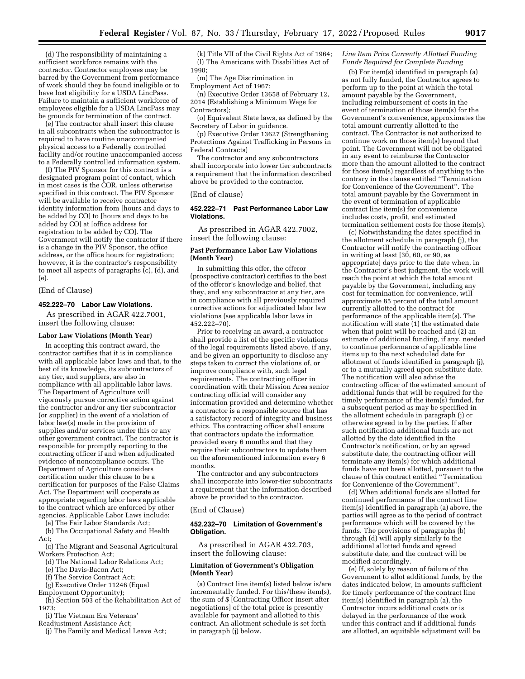(d) The responsibility of maintaining a sufficient workforce remains with the contractor. Contractor employees may be barred by the Government from performance of work should they be found ineligible or to have lost eligibility for a USDA LincPass. Failure to maintain a sufficient workforce of employees eligible for a USDA LincPass may be grounds for termination of the contract.

(e) The contractor shall insert this clause in all subcontracts when the subcontractor is required to have routine unaccompanied physical access to a Federally controlled facility and/or routine unaccompanied access to a Federally controlled information system.

(f) The PIV Sponsor for this contract is a designated program point of contact, which in most cases is the COR, unless otherwise specified in this contract. The PIV Sponsor will be available to receive contractor identity information from [hours and days to be added by CO] to [hours and days to be added by CO] at [office address for registration to be added by CO]. The Government will notify the contractor if there is a change in the PIV Sponsor, the office address, or the office hours for registration; however, it is the contractor's responsibility to meet all aspects of paragraphs (c), (d), and (e).

#### (End of Clause)

#### **452.222–70 Labor Law Violations.**

As prescribed in AGAR 422.7001, insert the following clause:

#### **Labor Law Violations (Month Year)**

In accepting this contract award, the contractor certifies that it is in compliance with all applicable labor laws and that, to the best of its knowledge, its subcontractors of any tier, and suppliers, are also in compliance with all applicable labor laws. The Department of Agriculture will vigorously pursue corrective action against the contractor and/or any tier subcontractor (or supplier) in the event of a violation of labor law(s) made in the provision of supplies and/or services under this or any other government contract. The contractor is responsible for promptly reporting to the contracting officer if and when adjudicated evidence of noncompliance occurs. The Department of Agriculture considers certification under this clause to be a certification for purposes of the False Claims Act. The Department will cooperate as appropriate regarding labor laws applicable to the contract which are enforced by other agencies. Applicable Labor Laws include:

(a) The Fair Labor Standards Act;

(b) The Occupational Safety and Health Act;

(c) The Migrant and Seasonal Agricultural Workers Protection Act;

- (d) The National Labor Relations Act;
- (e) The Davis-Bacon Act;
- (f) The Service Contract Act;
- (g) Executive Order 11246 (Equal
- Employment Opportunity);
- (h) Section 503 of the Rehabilitation Act of 1973;
- (i) The Vietnam Era Veterans'
- Readjustment Assistance Act;
- (j) The Family and Medical Leave Act;

(k) Title VII of the Civil Rights Act of 1964; (l) The Americans with Disabilities Act of 1990;

(m) The Age Discrimination in Employment Act of 1967;

(n) Executive Order 13658 of February 12, 2014 (Establishing a Minimum Wage for Contractors);

(o) Equivalent State laws, as defined by the Secretary of Labor in guidance.

(p) Executive Order 13627 (Strengthening Protections Against Trafficking in Persons in Federal Contracts)

The contractor and any subcontractors shall incorporate into lower tier subcontracts a requirement that the information described above be provided to the contractor.

#### (End of clause)

#### **452.222–71 Past Performance Labor Law Violations.**

As prescribed in AGAR 422.7002, insert the following clause:

#### **Past Performance Labor Law Violations (Month Year)**

In submitting this offer, the offeror (prospective contractor) certifies to the best of the offeror's knowledge and belief, that they, and any subcontractor at any tier, are in compliance with all previously required corrective actions for adjudicated labor law violations (see applicable labor laws in 452.222–70).

Prior to receiving an award, a contractor shall provide a list of the specific violations of the legal requirements listed above, if any, and be given an opportunity to disclose any steps taken to correct the violations of, or improve compliance with, such legal requirements. The contracting officer in coordination with their Mission Area senior contracting official will consider any information provided and determine whether a contractor is a responsible source that has a satisfactory record of integrity and business ethics. The contracting officer shall ensure that contractors update the information provided every 6 months and that they require their subcontractors to update them on the aforementioned information every 6 months.

The contractor and any subcontractors shall incorporate into lower-tier subcontracts a requirement that the information described above be provided to the contractor.

#### (End of Clause)

#### **452.232–70 Limitation of Government's Obligation.**

As prescribed in AGAR 432.703, insert the following clause:

#### **Limitation of Government's Obligation (Month Year)**

(a) Contract line item(s) listed below is/are incrementally funded. For this/these item(s), the sum of \$ [Contracting Officer insert after negotiations] of the total price is presently available for payment and allotted to this contract. An allotment schedule is set forth in paragraph (j) below.

#### *Line Item Price Currently Allotted Funding Funds Required for Complete Funding*

(b) For item(s) identified in paragraph (a) as not fully funded, the Contractor agrees to perform up to the point at which the total amount payable by the Government, including reimbursement of costs in the event of termination of those item(s) for the Government's convenience, approximates the total amount currently allotted to the contract. The Contractor is not authorized to continue work on those item(s) beyond that point. The Government will not be obligated in any event to reimburse the Contractor more than the amount allotted to the contract for those item(s) regardless of anything to the contrary in the clause entitled ''Termination for Convenience of the Government''. The total amount payable by the Government in the event of termination of applicable contract line item(s) for convenience includes costs, profit, and estimated termination settlement costs for those item(s).

(c) Notwithstanding the dates specified in the allotment schedule in paragraph (j), the Contractor will notify the contracting officer in writing at least [30, 60, or 90, as appropriate] days prior to the date when, in the Contractor's best judgment, the work will reach the point at which the total amount payable by the Government, including any cost for termination for convenience, will approximate 85 percent of the total amount currently allotted to the contract for performance of the applicable item(s). The notification will state (1) the estimated date when that point will be reached and (2) an estimate of additional funding, if any, needed to continue performance of applicable line items up to the next scheduled date for allotment of funds identified in paragraph (j), or to a mutually agreed upon substitute date. The notification will also advise the contracting officer of the estimated amount of additional funds that will be required for the timely performance of the item(s) funded, for a subsequent period as may be specified in the allotment schedule in paragraph (j) or otherwise agreed to by the parties. If after such notification additional funds are not allotted by the date identified in the Contractor's notification, or by an agreed substitute date, the contracting officer will terminate any item(s) for which additional funds have not been allotted, pursuant to the clause of this contract entitled ''Termination for Convenience of the Government''.

(d) When additional funds are allotted for continued performance of the contract line item(s) identified in paragraph (a) above, the parties will agree as to the period of contract performance which will be covered by the funds. The provisions of paragraphs (b) through (d) will apply similarly to the additional allotted funds and agreed substitute date, and the contract will be modified accordingly.

(e) If, solely by reason of failure of the Government to allot additional funds, by the dates indicated below, in amounts sufficient for timely performance of the contract line item(s) identified in paragraph (a), the Contractor incurs additional costs or is delayed in the performance of the work under this contract and if additional funds are allotted, an equitable adjustment will be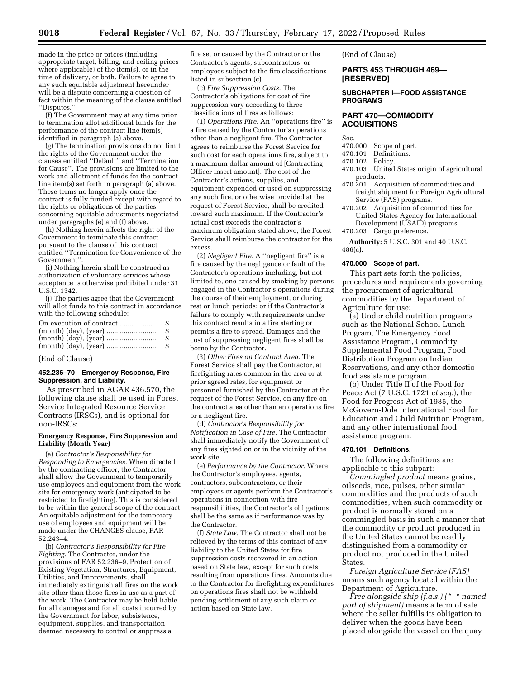made in the price or prices (including appropriate target, billing, and ceiling prices where applicable) of the item(s), or in the time of delivery, or both. Failure to agree to any such equitable adjustment hereunder will be a dispute concerning a question of fact within the meaning of the clause entitled ''Disputes.''

(f) The Government may at any time prior to termination allot additional funds for the performance of the contract line item(s) identified in paragraph (a) above.

(g) The termination provisions do not limit the rights of the Government under the clauses entitled ''Default'' and ''Termination for Cause''. The provisions are limited to the work and allotment of funds for the contract line item(s) set forth in paragraph (a) above. These terms no longer apply once the contract is fully funded except with regard to the rights or obligations of the parties concerning equitable adjustments negotiated under paragraphs (e) and (f) above.

(h) Nothing herein affects the right of the Government to terminate this contract pursuant to the clause of this contract entitled ''Termination for Convenience of the Government''.

(i) Nothing herein shall be construed as authorization of voluntary services whose acceptance is otherwise prohibited under 31 U.S.C. 1342.

(j) The parties agree that the Government will allot funds to this contract in accordance with the following schedule:

| -SS |
|-----|
|     |
|     |

## (End of Clause)

#### **452.236–70 Emergency Response, Fire Suppression, and Liability.**

As prescribed in AGAR 436.570, the following clause shall be used in Forest Service Integrated Resource Service Contracts (IRSCs), and is optional for non-IRSCs:

#### **Emergency Response, Fire Suppression and Liability (Month Year)**

(a) *Contractor's Responsibility for Responding to Emergencies.* When directed by the contracting officer, the Contractor shall allow the Government to temporarily use employees and equipment from the work site for emergency work (anticipated to be restricted to firefighting). This is considered to be within the general scope of the contract. An equitable adjustment for the temporary use of employees and equipment will be made under the CHANGES clause, FAR 52.243–4.

(b) *Contractor's Responsibility for Fire Fighting.* The Contractor, under the provisions of FAR 52.236–9, Protection of Existing Vegetation, Structures, Equipment, Utilities, and Improvements, shall immediately extinguish all fires on the work site other than those fires in use as a part of the work. The Contractor may be held liable for all damages and for all costs incurred by the Government for labor, subsistence, equipment, supplies, and transportation deemed necessary to control or suppress a

fire set or caused by the Contractor or the Contractor's agents, subcontractors, or employees subject to the fire classifications listed in subsection (c).

(c) *Fire Suppression Costs.* The Contractor's obligations for cost of fire suppression vary according to three classifications of fires as follows:

(1) *Operations Fire.* An ''operations fire'' is a fire caused by the Contractor's operations other than a negligent fire. The Contractor agrees to reimburse the Forest Service for such cost for each operations fire, subject to a maximum dollar amount of [Contracting Officer insert amount]. The cost of the Contractor's actions, supplies, and equipment expended or used on suppressing any such fire, or otherwise provided at the request of Forest Service, shall be credited toward such maximum. If the Contractor's actual cost exceeds the contractor's maximum obligation stated above, the Forest Service shall reimburse the contractor for the excess.

(2) *Negligent Fire.* A ''negligent fire'' is a fire caused by the negligence or fault of the Contractor's operations including, but not limited to, one caused by smoking by persons engaged in the Contractor's operations during the course of their employment, or during rest or lunch periods; or if the Contractor's failure to comply with requirements under this contract results in a fire starting or permits a fire to spread. Damages and the cost of suppressing negligent fires shall be borne by the Contractor.

(3) *Other Fires on Contract Area.* The Forest Service shall pay the Contractor, at firefighting rates common in the area or at prior agreed rates, for equipment or personnel furnished by the Contractor at the request of the Forest Service, on any fire on the contract area other than an operations fire or a negligent fire.

(d) *Contractor's Responsibility for Notification in Case of Fire.* The Contractor shall immediately notify the Government of any fires sighted on or in the vicinity of the work site.

(e) *Performance by the Contractor.* Where the Contractor's employees, agents, contractors, subcontractors, or their employees or agents perform the Contractor's operations in connection with fire responsibilities, the Contractor's obligations shall be the same as if performance was by the Contractor.

(f) *State Law.* The Contractor shall not be relieved by the terms of this contract of any liability to the United States for fire suppression costs recovered in an action based on State law, except for such costs resulting from operations fires. Amounts due to the Contractor for firefighting expenditures on operations fires shall not be withheld pending settlement of any such claim or action based on State law.

(End of Clause)

## **PARTS 453 THROUGH 469— [RESERVED]**

## **SUBCHAPTER I—FOOD ASSISTANCE PROGRAMS**

## **PART 470—COMMODITY ACQUISITIONS**

- Sec.<br>470.000 470.000 Scope of part.
- Definitions.
- 470.102 Policy.
- 470.103 United States origin of agricultural products.
- 470.201 Acquisition of commodities and freight shipment for Foreign Agricultural Service (FAS) programs.
- 470.202 Acquisition of commodities for United States Agency for International Development (USAID) programs.
- 470.203 Cargo preference.

**Authority:** 5 U.S.C. 301 and 40 U.S.C. 486(c).

#### **470.000 Scope of part.**

This part sets forth the policies, procedures and requirements governing the procurement of agricultural commodities by the Department of Agriculture for use:

(a) Under child nutrition programs such as the National School Lunch Program, The Emergency Food Assistance Program, Commodity Supplemental Food Program, Food Distribution Program on Indian Reservations, and any other domestic food assistance program.

(b) Under Title II of the Food for Peace Act (7 U.S.C. 1721 *et seq.*), the Food for Progress Act of 1985, the McGovern-Dole International Food for Education and Child Nutrition Program, and any other international food assistance program.

#### **470.101 Definitions.**

The following definitions are applicable to this subpart:

*Commingled product* means grains, oilseeds, rice, pulses, other similar commodities and the products of such commodities, when such commodity or product is normally stored on a commingled basis in such a manner that the commodity or product produced in the United States cannot be readily distinguished from a commodity or product not produced in the United States.

*Foreign Agriculture Service (FAS)*  means such agency located within the Department of Agriculture.

*Free alongside ship (f.a.s.) (\* \* named port of shipment)* means a term of sale where the seller fulfills its obligation to deliver when the goods have been placed alongside the vessel on the quay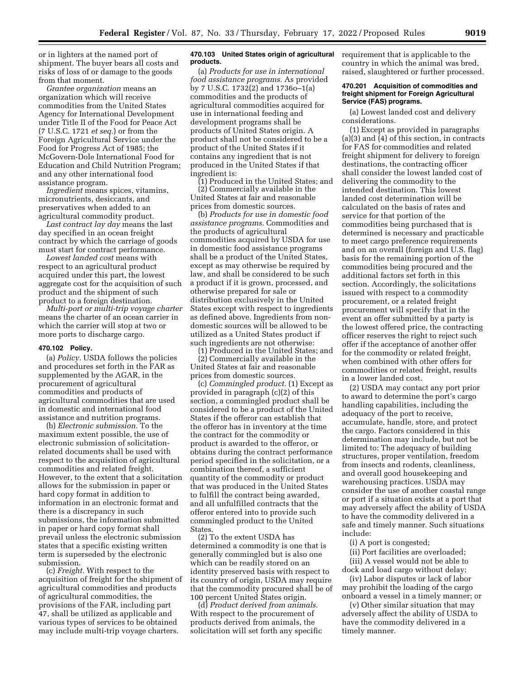or in lighters at the named port of shipment. The buyer bears all costs and risks of loss of or damage to the goods from that moment.

*Grantee organization* means an organization which will receive commodities from the United States Agency for International Development under Title II of the Food for Peace Act (7 U.S.C. 1721 *et seq.*) or from the Foreign Agricultural Service under the Food for Progress Act of 1985; the McGovern-Dole International Food for Education and Child Nutrition Program; and any other international food assistance program.

*Ingredient* means spices, vitamins, micronutrients, desiccants, and preservatives when added to an agricultural commodity product.

*Last contract lay day* means the last day specified in an ocean freight contract by which the carriage of goods must start for contract performance.

*Lowest landed cost* means with respect to an agricultural product acquired under this part, the lowest aggregate cost for the acquisition of such product and the shipment of such product to a foreign destination.

*Multi-port or multi-trip voyage charter*  means the charter of an ocean carrier in which the carrier will stop at two or more ports to discharge cargo.

## **470.102 Policy.**

(a) *Policy.* USDA follows the policies and procedures set forth in the FAR as supplemented by the AGAR, in the procurement of agricultural commodities and products of agricultural commodities that are used in domestic and international food assistance and nutrition programs.

(b) *Electronic submission.* To the maximum extent possible, the use of electronic submission of solicitationrelated documents shall be used with respect to the acquisition of agricultural commodities and related freight. However, to the extent that a solicitation allows for the submission in paper or hard copy format in addition to information in an electronic format and there is a discrepancy in such submissions, the information submitted in paper or hard copy format shall prevail unless the electronic submission states that a specific existing written term is superseded by the electronic submission.

(c) *Freight.* With respect to the acquisition of freight for the shipment of agricultural commodities and products of agricultural commodities, the provisions of the FAR, including part 47, shall be utilized as applicable and various types of services to be obtained may include multi-trip voyage charters.

#### **470.103 United States origin of agricultural products.**

(a) *Products for use in international food assistance programs.* As provided by 7 U.S.C. 1732(2) and 1736o–1(a) commodities and the products of agricultural commodities acquired for use in international feeding and development programs shall be products of United States origin. A product shall not be considered to be a product of the United States if it contains any ingredient that is not produced in the United States if that ingredient is:

(1) Produced in the United States; and (2) Commercially available in the United States at fair and reasonable prices from domestic sources.

(b) *Products for use in domestic food assistance programs.* Commodities and the products of agricultural commodities acquired by USDA for use in domestic food assistance programs shall be a product of the United States, except as may otherwise be required by law, and shall be considered to be such a product if it is grown, processed, and otherwise prepared for sale or distribution exclusively in the United States except with respect to ingredients as defined above. Ingredients from nondomestic sources will be allowed to be utilized as a United States product if such ingredients are not otherwise:

(1) Produced in the United States; and (2) Commercially available in the United States at fair and reasonable prices from domestic sources.

(c) *Commingled product.* (1) Except as provided in paragraph (c)(2) of this section, a commingled product shall be considered to be a product of the United States if the offeror can establish that the offeror has in inventory at the time the contract for the commodity or product is awarded to the offeror, or obtains during the contract performance period specified in the solicitation, or a combination thereof, a sufficient quantity of the commodity or product that was produced in the United States to fulfill the contract being awarded, and all unfulfilled contracts that the offeror entered into to provide such commingled product to the United States.

(2) To the extent USDA has determined a commodity is one that is generally commingled but is also one which can be readily stored on an identity preserved basis with respect to its country of origin, USDA may require that the commodity procured shall be of 100 percent United States origin.

(d) *Product derived from animals.*  With respect to the procurement of products derived from animals, the solicitation will set forth any specific requirement that is applicable to the country in which the animal was bred, raised, slaughtered or further processed.

#### **470.201 Acquisition of commodities and freight shipment for Foreign Agricultural Service (FAS) programs.**

(a) Lowest landed cost and delivery considerations.

(1) Except as provided in paragraphs (a)(3) and (4) of this section, in contracts for FAS for commodities and related freight shipment for delivery to foreign destinations, the contracting officer shall consider the lowest landed cost of delivering the commodity to the intended destination. This lowest landed cost determination will be calculated on the basis of rates and service for that portion of the commodities being purchased that is determined is necessary and practicable to meet cargo preference requirements and on an overall (foreign and U.S. flag) basis for the remaining portion of the commodities being procured and the additional factors set forth in this section. Accordingly, the solicitations issued with respect to a commodity procurement, or a related freight procurement will specify that in the event an offer submitted by a party is the lowest offered price, the contracting officer reserves the right to reject such offer if the acceptance of another offer for the commodity or related freight, when combined with other offers for commodities or related freight, results in a lower landed cost.

(2) USDA may contact any port prior to award to determine the port's cargo handling capabilities, including the adequacy of the port to receive, accumulate, handle, store, and protect the cargo. Factors considered in this determination may include, but not be limited to: The adequacy of building structures, proper ventilation, freedom from insects and rodents, cleanliness, and overall good housekeeping and warehousing practices. USDA may consider the use of another coastal range or port if a situation exists at a port that may adversely affect the ability of USDA to have the commodity delivered in a safe and timely manner. Such situations include:

(i) A port is congested;

(ii) Port facilities are overloaded;

(iii) A vessel would not be able to dock and load cargo without delay;

(iv) Labor disputes or lack of labor may prohibit the loading of the cargo onboard a vessel in a timely manner; or

(v) Other similar situation that may adversely affect the ability of USDA to have the commodity delivered in a timely manner.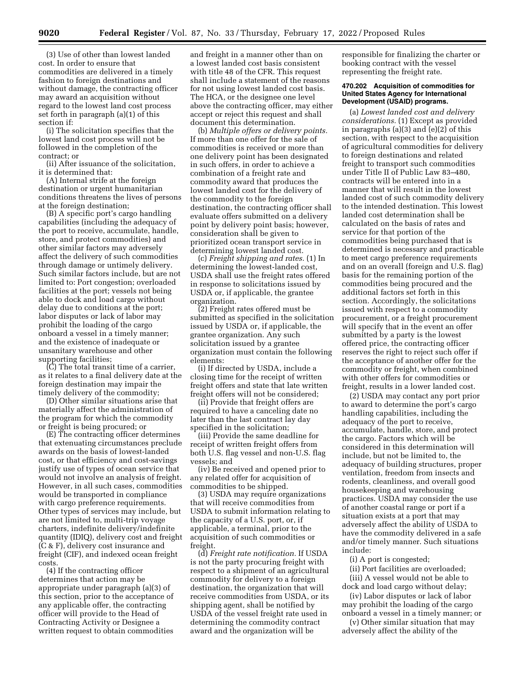(3) Use of other than lowest landed cost. In order to ensure that commodities are delivered in a timely fashion to foreign destinations and without damage, the contracting officer may award an acquisition without regard to the lowest land cost process set forth in paragraph (a)(1) of this section if:

(i) The solicitation specifies that the lowest land cost process will not be followed in the completion of the contract; or

(ii) After issuance of the solicitation, it is determined that:

(A) Internal strife at the foreign destination or urgent humanitarian conditions threatens the lives of persons at the foreign destination;

(B) A specific port's cargo handling capabilities (including the adequacy of the port to receive, accumulate, handle, store, and protect commodities) and other similar factors may adversely affect the delivery of such commodities through damage or untimely delivery. Such similar factors include, but are not limited to: Port congestion; overloaded facilities at the port; vessels not being able to dock and load cargo without delay due to conditions at the port; labor disputes or lack of labor may prohibit the loading of the cargo onboard a vessel in a timely manner; and the existence of inadequate or unsanitary warehouse and other supporting facilities;

(C) The total transit time of a carrier, as it relates to a final delivery date at the foreign destination may impair the timely delivery of the commodity;

(D) Other similar situations arise that materially affect the administration of the program for which the commodity or freight is being procured; or

(E) The contracting officer determines that extenuating circumstances preclude awards on the basis of lowest-landed cost, or that efficiency and cost-savings justify use of types of ocean service that would not involve an analysis of freight. However, in all such cases, commodities would be transported in compliance with cargo preference requirements. Other types of services may include, but are not limited to, multi-trip voyage charters, indefinite delivery/indefinite quantity (IDIQ), delivery cost and freight (C & F), delivery cost insurance and freight (CIF), and indexed ocean freight costs.

(4) If the contracting officer determines that action may be appropriate under paragraph (a)(3) of this section, prior to the acceptance of any applicable offer, the contracting officer will provide to the Head of Contracting Activity or Designee a written request to obtain commodities

and freight in a manner other than on a lowest landed cost basis consistent with title 48 of the CFR. This request shall include a statement of the reasons for not using lowest landed cost basis. The HCA, or the designee one level above the contracting officer, may either accept or reject this request and shall document this determination.

(b) *Multiple offers or delivery points.*  If more than one offer for the sale of commodities is received or more than one delivery point has been designated in such offers, in order to achieve a combination of a freight rate and commodity award that produces the lowest landed cost for the delivery of the commodity to the foreign destination, the contracting officer shall evaluate offers submitted on a delivery point by delivery point basis; however, consideration shall be given to prioritized ocean transport service in determining lowest landed cost.

(c) *Freight shipping and rates.* (1) In determining the lowest-landed cost, USDA shall use the freight rates offered in response to solicitations issued by USDA or, if applicable, the grantee organization.

(2) Freight rates offered must be submitted as specified in the solicitation issued by USDA or, if applicable, the grantee organization. Any such solicitation issued by a grantee organization must contain the following elements:

(i) If directed by USDA, include a closing time for the receipt of written freight offers and state that late written freight offers will not be considered;

(ii) Provide that freight offers are required to have a canceling date no later than the last contract lay day specified in the solicitation;

(iii) Provide the same deadline for receipt of written freight offers from both U.S. flag vessel and non-U.S. flag vessels; and

(iv) Be received and opened prior to any related offer for acquisition of commodities to be shipped.

(3) USDA may require organizations that will receive commodities from USDA to submit information relating to the capacity of a U.S. port, or, if applicable, a terminal, prior to the acquisition of such commodities or freight.

(d) *Freight rate notification.* If USDA is not the party procuring freight with respect to a shipment of an agricultural commodity for delivery to a foreign destination, the organization that will receive commodities from USDA, or its shipping agent, shall be notified by USDA of the vessel freight rate used in determining the commodity contract award and the organization will be

responsible for finalizing the charter or booking contract with the vessel representing the freight rate.

#### **470.202 Acquisition of commodities for United States Agency for International Development (USAID) programs.**

(a) *Lowest landed cost and delivery considerations.* (1) Except as provided in paragraphs (a)(3) and (e)(2) of this section, with respect to the acquisition of agricultural commodities for delivery to foreign destinations and related freight to transport such commodities under Title II of Public Law 83–480, contracts will be entered into in a manner that will result in the lowest landed cost of such commodity delivery to the intended destination. This lowest landed cost determination shall be calculated on the basis of rates and service for that portion of the commodities being purchased that is determined is necessary and practicable to meet cargo preference requirements and on an overall (foreign and U.S. flag) basis for the remaining portion of the commodities being procured and the additional factors set forth in this section. Accordingly, the solicitations issued with respect to a commodity procurement, or a freight procurement will specify that in the event an offer submitted by a party is the lowest offered price, the contracting officer reserves the right to reject such offer if the acceptance of another offer for the commodity or freight, when combined with other offers for commodities or freight, results in a lower landed cost.

(2) USDA may contact any port prior to award to determine the port's cargo handling capabilities, including the adequacy of the port to receive, accumulate, handle, store, and protect the cargo. Factors which will be considered in this determination will include, but not be limited to, the adequacy of building structures, proper ventilation, freedom from insects and rodents, cleanliness, and overall good housekeeping and warehousing practices. USDA may consider the use of another coastal range or port if a situation exists at a port that may adversely affect the ability of USDA to have the commodity delivered in a safe and/or timely manner. Such situations include:

(i) A port is congested;

(ii) Port facilities are overloaded; (iii) A vessel would not be able to dock and load cargo without delay;

(iv) Labor disputes or lack of labor may prohibit the loading of the cargo onboard a vessel in a timely manner; or

(v) Other similar situation that may adversely affect the ability of the